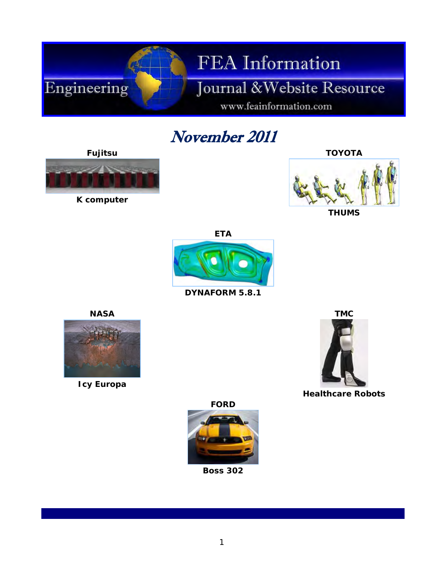

# November 2011



**K computer**



**THUMS** 

**ETA** 



**DYNAFORM 5.8.1** 





**Icy Europa**



**Healthcare Robots** 

**FORD** 



**Boss 302**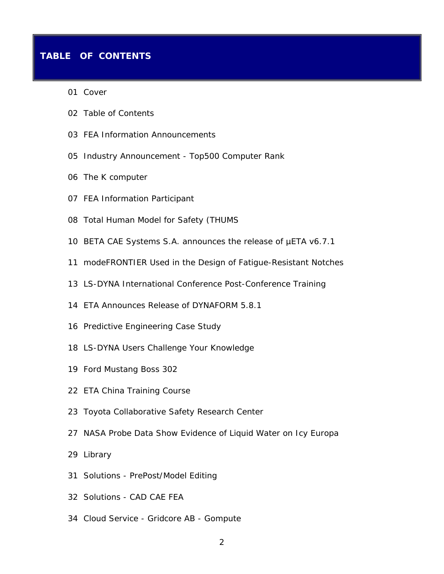### **TABLE OF CONTENTS**

- 01 Cover
- 02 Table of Contents
- 03 FEA Information Announcements
- 05 Industry Announcement Top500 Computer Rank
- 06 The K computer
- 07 FEA Information Participant
- 08 Total Human Model for Safety (THUMS
- 10 BETA CAE Systems S.A. announces the release of µETA v6.7.1
- 11 modeFRONTIER Used in the Design of Fatigue-Resistant Notches
- 13 LS-DYNA International Conference Post-Conference Training
- 14 ETA Announces Release of DYNAFORM 5.8.1
- 16 Predictive Engineering Case Study
- 18 LS-DYNA Users Challenge Your Knowledge
- 19 Ford Mustang Boss 302
- 22 ETA China Training Course
- 23 Toyota Collaborative Safety Research Center
- 27 NASA Probe Data Show Evidence of Liquid Water on Icy Europa
- 29 Library
- 31 Solutions PrePost/Model Editing
- 32 Solutions CAD CAE FEA
- 34 Cloud Service Gridcore AB Gompute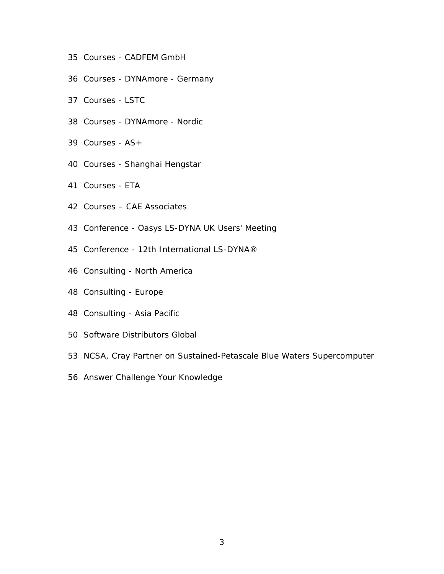- 35 Courses CADFEM GmbH
- 36 Courses DYNAmore Germany
- 37 Courses LSTC
- 38 Courses DYNAmore Nordic
- 39 Courses AS+
- 40 Courses Shanghai Hengstar
- 41 Courses ETA
- 42 Courses CAE Associates
- 43 Conference Oasys LS-DYNA UK Users' Meeting
- 45 Conference 12th International LS-DYNA®
- 46 Consulting North America
- 48 Consulting Europe
- 48 Consulting Asia Pacific
- 50 Software Distributors Global
- 53 NCSA, Cray Partner on Sustained-Petascale Blue Waters Supercomputer
- 56 Answer Challenge Your Knowledge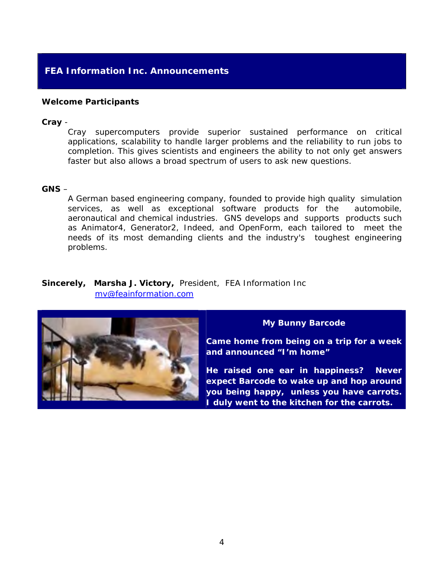## **FEA Information Inc. Announcements**

### **Welcome Participants**

#### **Cray** -

Cray supercomputers provide superior sustained performance on critical applications, scalability to handle larger problems and the reliability to run jobs to completion. This gives scientists and engineers the ability to not only get answers faster but also allows a broad spectrum of users to ask new questions.

### **GNS** –

A German based engineering company, founded to provide high quality simulation services, as well as exceptional software products for the automobile, aeronautical and chemical industries. GNS develops and supports products such as Animator4, Generator2, Indeed, and OpenForm, each tailored to meet the needs of its most demanding clients and the industry's toughest engineering problems.

### **Sincerely, Marsha J. Victory,** President, FEA Information Inc [mv@feainformation.com](mailto:mv@feainformation.com)



#### **My Bunny Barcode**

**Came home from being on a trip for a week and announced "I'm home"** 

**He raised one ear in happiness? Never expect Barcode to wake up and hop around you being happy, unless you have carrots. I duly went to the kitchen for the carrots.**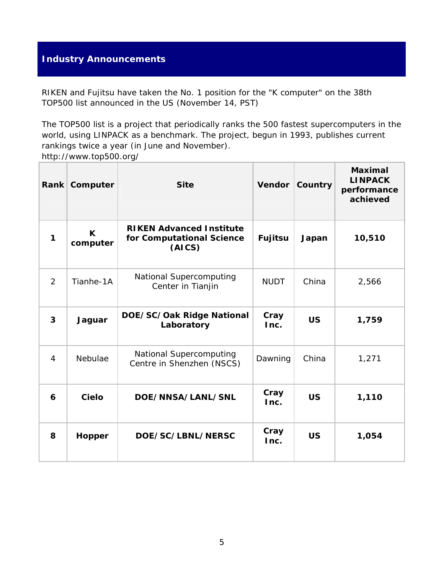## **Industry Announcements**

RIKEN and Fujitsu have taken the No. 1 position for the "K computer" on the 38th TOP500 list announced in the US (November 14, PST)

The TOP500 list is a project that periodically ranks the 500 fastest supercomputers in the world, using LINPACK as a benchmark. The project, begun in 1993, publishes current rankings twice a year (in June and November).

http://www.top500.org/

| Rank | Computer      | <b>Site</b>                                                            | Vendor         | Country   | <b>Maximal</b><br><b>LINPACK</b><br>performance<br>achieved |
|------|---------------|------------------------------------------------------------------------|----------------|-----------|-------------------------------------------------------------|
| 1    | K<br>computer | <b>RIKEN Advanced Institute</b><br>for Computational Science<br>(AICS) | <b>Fujitsu</b> | Japan     | 10,510                                                      |
| 2    | Tianhe-1A     | <b>National Supercomputing</b><br>Center in Tianjin                    | <b>NUDT</b>    | China     | 2,566                                                       |
| 3    | Jaguar        | DOE/SC/Oak Ridge National<br>Laboratory                                | Cray<br>Inc.   | <b>US</b> | 1,759                                                       |
| 4    | Nebulae       | National Supercomputing<br>Centre in Shenzhen (NSCS)                   | Dawning        | China     | 1,271                                                       |
| 6    | Cielo         | DOE/NNSA/LANL/SNL                                                      | Cray<br>Inc.   | <b>US</b> | 1,110                                                       |
| 8    | Hopper        | DOE/SC/LBNL/NERSC                                                      | Cray<br>Inc.   | <b>US</b> | 1,054                                                       |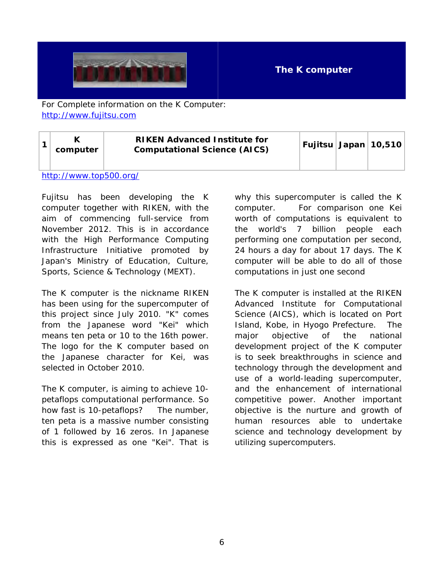

### **The K computer**

For Complete information on the K Computer: [http://www.fujitsu.com](http://www.fujitsu.com/) 

| computer               | <b>RIKEN Advanced Institute for</b><br><b>Computational Science (AICS)</b> |  |  | Fujitsu   Japan   10,510 |  |  |
|------------------------|----------------------------------------------------------------------------|--|--|--------------------------|--|--|
| http://www.top500.org/ |                                                                            |  |  |                          |  |  |

Fujitsu has been developing the K computer together with RIKEN, with the aim of commencing full-service from November 2012. This is in accordance with the High Performance Computing Infrastructure Initiative promoted by Japan's Ministry of Education, Culture, Sports, Science & Technology (MEXT).

The K computer is the nickname RIKEN has been using for the supercomputer of this project since July 2010. "K" comes from the Japanese word "Kei" which means ten peta or 10 to the 16th power. The logo for the K computer based on the Japanese character for Kei, was selected in October 2010.

The K computer, is aiming to achieve 10 petaflops computational performance. So how fast is 10-petaflops? The number, ten peta is a massive number consisting of 1 followed by 16 zeros. In Japanese this is expressed as one "Kei". That is

why this supercomputer is called the K computer. For comparison one Kei worth of computations is equivalent to the world's 7 billion people each performing one computation per second, 24 hours a day for about 17 days. The K computer will be able to do all of those computations in just one second

The K computer is installed at the RIKEN Advanced Institute for Computational Science (AICS), which is located on Port Island, Kobe, in Hyogo Prefecture. The major objective of the national development project of the K computer is to seek breakthroughs in science and technology through the development and use of a world-leading supercomputer, and the enhancement of international competitive power. Another important objective is the nurture and growth of human resources able to undertake science and technology development by utilizing supercomputers.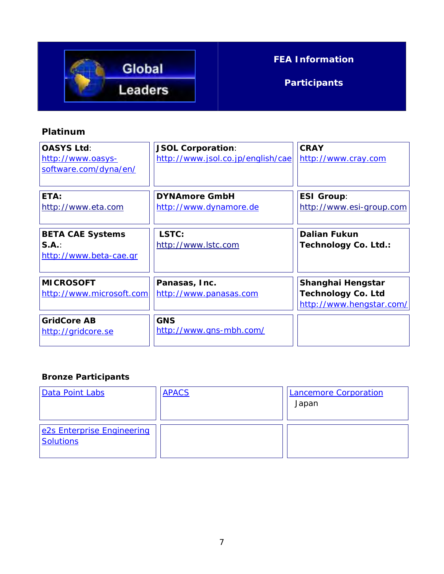

## **FEA Information**

**Participants**

## **Platinum**

| <b>OASYS Ltd:</b><br>http://www.oasys-<br>software.com/dyna/en/ | <b>JSOL Corporation:</b><br>http://www.jsol.co.jp/english/cae | <b>CRAY</b><br>http://www.cray.com                                         |
|-----------------------------------------------------------------|---------------------------------------------------------------|----------------------------------------------------------------------------|
| ETA:<br>http://www.eta.com                                      | <b>DYNAmore GmbH</b><br>http://www.dynamore.de                | <b>ESI Group:</b><br>http://www.esi-group.com                              |
| <b>BETA CAE Systems</b><br>S.A.:<br>http://www.beta-cae.gr      | LSTC:<br>http://www.lstc.com                                  | <b>Dalian Fukun</b><br>Technology Co. Ltd.:                                |
| <b>MICROSOFT</b><br>http://www.microsoft.com                    | Panasas, Inc.<br>http://www.panasas.com                       | Shanghai Hengstar<br><b>Technology Co. Ltd</b><br>http://www.hengstar.com/ |
| <b>GridCore AB</b><br>http://gridcore.se                        | <b>GNS</b><br>http://www.gns-mbh.com/                         |                                                                            |

## **Bronze Participants**

| Data Point Labs                                | <b>APACS</b> | <b>Lancemore Corporation</b><br>Japan |
|------------------------------------------------|--------------|---------------------------------------|
| e2s Enterprise Engineering<br><b>Solutions</b> |              |                                       |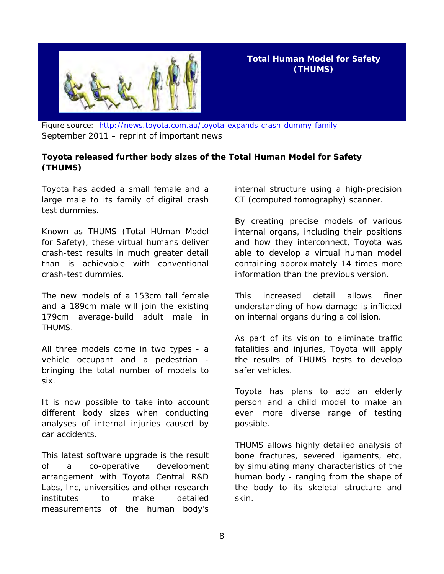

## **Total Human Model for Safety (THUMS)**

Figure source: <http://news.toyota.com.au/toyota-expands-crash-dummy-family> September 2011 – reprint of important news

### **Toyota released further body sizes of the Total Human Model for Safety (THUMS)**

Toyota has added a small female and a large male to its family of digital crash test dummies.

Known as THUMS (Total HUman Model for Safety), these virtual humans deliver crash-test results in much greater detail than is achievable with conventional crash-test dummies.

The new models of a 153cm tall female and a 189cm male will join the existing 179cm average-build adult male in THUMS.

All three models come in two types - a vehicle occupant and a pedestrian bringing the total number of models to six.

It is now possible to take into account different body sizes when conducting analyses of internal injuries caused by car accidents.

This latest software upgrade is the result of a co-operative development arrangement with Toyota Central R&D Labs, Inc, universities and other research institutes to make detailed measurements of the human body's

internal structure using a high-precision CT (computed tomography) scanner.

By creating precise models of various internal organs, including their positions and how they interconnect, Toyota was able to develop a virtual human model containing approximately 14 times more information than the previous version.

This increased detail allows finer understanding of how damage is inflicted on internal organs during a collision.

As part of its vision to eliminate traffic fatalities and injuries, Toyota will apply the results of THUMS tests to develop safer vehicles.

Toyota has plans to add an elderly person and a child model to make an even more diverse range of testing possible.

THUMS allows highly detailed analysis of bone fractures, severed ligaments, etc, by simulating many characteristics of the human body - ranging from the shape of the body to its skeletal structure and skin.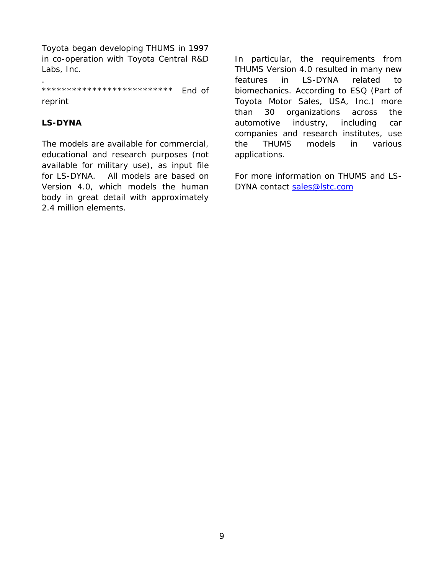Toyota began developing THUMS in 1997 in co-operation with Toyota Central R&D Labs, Inc.

. \*\*\*\*\*\*\*\*\*\*\*\*\*\*\*\*\*\*\*\*\*\*\*\*\*\* End of reprint

### **LS-DYNA**

The models are available for commercial, educational and research purposes (not available for military use), as input file for LS-DYNA. All models are based on Version 4.0, which models the human body in great detail with approximately 2.4 million elements.

In particular, the requirements from THUMS Version 4.0 resulted in many new features in LS-DYNA related to biomechanics. According to ESQ (Part of Toyota Motor Sales, USA, Inc.) more than 30 organizations across the automotive industry, including car companies and research institutes, use the THUMS models in various applications.

For more information on THUMS and LS-DYNA contact [sales@lstc.com](mailto:sales@lstc.com)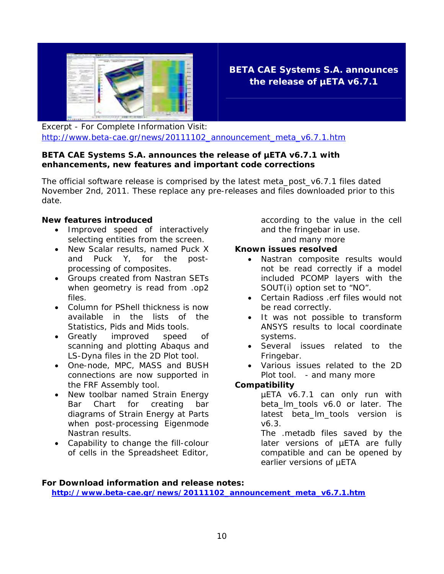

**BETA CAE Systems S.A. announces the release of µETA v6.7.1**

## Excerpt - For Complete Information Visit: [http://www.beta-cae.gr/news/20111102\\_announcement\\_meta\\_v6.7.1.htm](http://www.beta-cae.gr/news/20111102_announcement_meta_v6.7.1.htm)

### **BETA CAE Systems S.A. announces the release of µETA v6.7.1 with enhancements, new features and important code corrections**

The official software release is comprised by the latest meta\_post\_v6.7.1 files dated November 2nd, 2011. These replace any pre-releases and files downloaded prior to this date.

### **New features introduced**

- Improved speed of interactively selecting entities from the screen.
- New Scalar results, named Puck X and Puck Y, for the postprocessing of composites.
- Groups created from Nastran SETs when geometry is read from .op2 files.
- Column for PShell thickness is now available in the lists of the Statistics, Pids and Mids tools.
- Greatly improved speed of scanning and plotting Abaqus and LS-Dyna files in the 2D Plot tool.
- One-node, MPC, MASS and BUSH connections are now supported in the FRF Assembly tool.
- New toolbar named Strain Energy Bar Chart for creating bar diagrams of Strain Energy at Parts when post-processing Eigenmode Nastran results.
- Capability to change the fill-colour of cells in the Spreadsheet Editor,

according to the value in the cell and the fringebar in use.

and many more

### **Known issues resolved**

- Nastran composite results would not be read correctly if a model included PCOMP layers with the SOUT(i) option set to "NO".
- Certain Radioss .erf files would not be read correctly.
- It was not possible to transform ANSYS results to local coordinate systems.
- Several issues related to the Fringebar.
- Various issues related to the 2D Plot tool. - and many more

### **Compatibility**

µETA v6.7.1 can only run with beta\_lm\_tools v6.0 or later. The latest beta\_lm\_tools version is v6.3.

The .metadb files saved by the later versions of uETA are fully compatible and can be opened by earlier versions of µETA

### **For Download information and release notes: [http://www.beta-cae.gr/news/20111102\\_announcement\\_meta\\_v6.7.1.htm](http://www.beta-cae.gr/news/20111102_announcement_meta_v6.7.1.htm)**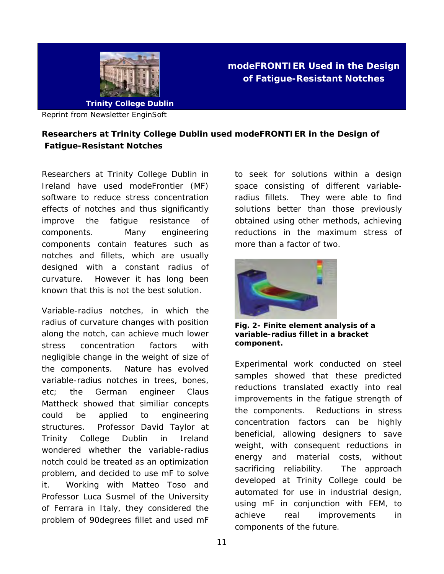

**modeFRONTIER Used in the Design of Fatigue-Resistant Notches**

Reprint from Newsletter EnginSoft

## **Researchers at Trinity College Dublin used modeFRONTIER in the Design of Fatigue-Resistant Notches**

Researchers at Trinity College Dublin in Ireland have used modeFrontier (MF) software to reduce stress concentration effects of notches and thus significantly improve the fatigue resistance of components. Many engineering components contain features such as notches and fillets, which are usually designed with a constant radius of curvature. However it has long been known that this is not the best solution.

Variable-radius notches, in which the radius of curvature changes with position along the notch, can achieve much lower stress concentration factors with negligible change in the weight of size of the components. Nature has evolved variable-radius notches in trees, bones, etc; the German engineer Claus Mattheck showed that similiar concepts could be applied to engineering structures. Professor David Taylor at Trinity College Dublin in Ireland wondered whether the variable-radius notch could be treated as an optimization problem, and decided to use mF to solve it. Working with Matteo Toso and Professor Luca Susmel of the University of Ferrara in Italy, they considered the problem of 90degrees fillet and used mF

to seek for solutions within a design space consisting of different variableradius fillets. They were able to find solutions better than those previously obtained using other methods, achieving reductions in the maximum stress of more than a factor of two.



**Fig. 2- Finite element analysis of a variable-radius fillet in a bracket component.** 

Experimental work conducted on steel samples showed that these predicted reductions translated exactly into real improvements in the fatigue strength of the components. Reductions in stress concentration factors can be highly beneficial, allowing designers to save weight, with consequent reductions in energy and material costs, without sacrificing reliability. The approach developed at Trinity College could be automated for use in industrial design, using mF in conjunction with FEM, to achieve real improvements in components of the future.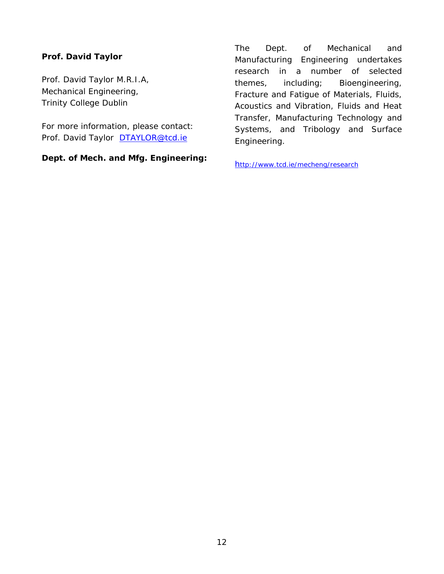### **Prof. David Taylor**

Prof. David Taylor M.R.I.A, Mechanical Engineering, Trinity College Dublin

For more information, please contact: Prof. David Taylor [DTAYLOR@tcd.ie](mailto:DTAYLOR@tcd.ie)

**Dept. of Mech. and Mfg. Engineering:** 

The Dept. of Mechanical and Manufacturing Engineering undertakes research in a number of selected themes, including; Bioengineering, Fracture and Fatigue of Materials, Fluids, Acoustics and Vibration, Fluids and Heat Transfer, Manufacturing Technology and Systems, and Tribology and Surface Engineering.

<http://www.tcd.ie/mecheng/research>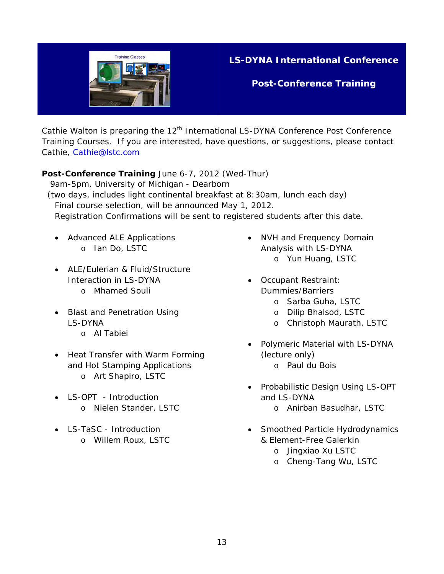

**LS-DYNA International Conference** 

**Post-Conference Training** 

Cathie Walton is preparing the 12<sup>th</sup> International LS-DYNA Conference Post Conference Training Courses. If you are interested, have questions, or suggestions, please contact Cathie, [Cathie@lstc.com](mailto:Cathie@lstc.com) 

## **Post-Conference Training** June 6-7, 2012 (Wed-Thur)

 9am-5pm, University of Michigan - Dearborn (two days, includes light continental breakfast at 8:30am, lunch each day)

Final course selection, will be announced May 1, 2012.

Registration Confirmations will be sent to registered students after this date.

- Advanced ALE Applications o Ian Do, LSTC
- ALE/Eulerian & Fluid/Structure Interaction in LS-DYNA o Mhamed Souli
- Blast and Penetration Using LS-DYNA
	- o Al Tabiei
- Heat Transfer with Warm Forming and Hot Stamping Applications o Art Shapiro, LSTC
- IS-OPT Introduction o Nielen Stander, LSTC
- I S-TaSC Introduction o Willem Roux, LSTC
- NVH and Frequency Domain Analysis with LS-DYNA
	- o Yun Huang, LSTC
- Occupant Restraint: Dummies/Barriers
	- o Sarba Guha, LSTC
	- o Dilip Bhalsod, LSTC
	- o Christoph Maurath, LSTC
- Polymeric Material with LS-DYNA (lecture only)
	- o Paul du Bois
- Probabilistic Design Using LS-OPT and LS-DYNA
	- o Anirban Basudhar, LSTC
- Smoothed Particle Hydrodynamics & Element-Free Galerkin
	- o Jingxiao Xu LSTC
	- o Cheng-Tang Wu, LSTC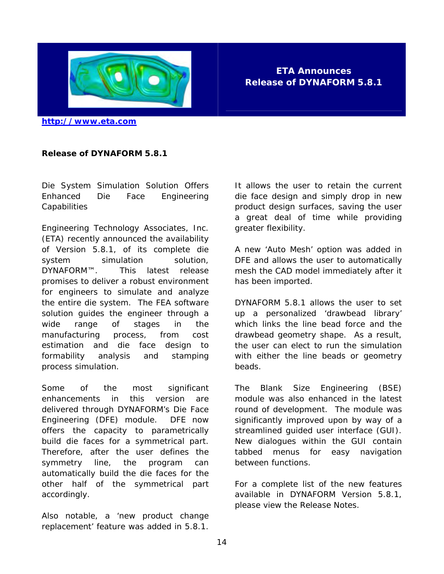

**[http://www.eta.com](http://www.eta.com/)** 

### **Release of DYNAFORM 5.8.1**

Die System Simulation Solution Offers Enhanced Die Face Engineering **Capabilities** 

Engineering Technology Associates, Inc. (ETA) recently announced the availability of Version 5.8.1, of its complete die system simulation solution, DYNAFORM™. This latest release promises to deliver a robust environment for engineers to simulate and analyze the entire die system. The FEA software solution guides the engineer through a wide range of stages in the manufacturing process, from cost estimation and die face design to formability analysis and stamping process simulation.

Some of the most significant enhancements in this version are delivered through DYNAFORM's Die Face Engineering (DFE) module. DFE now offers the capacity to parametrically build die faces for a symmetrical part. Therefore, after the user defines the symmetry line, the program can automatically build the die faces for the other half of the symmetrical part accordingly.

Also notable, a 'new product change replacement' feature was added in 5.8.1.

It allows the user to retain the current die face design and simply drop in new product design surfaces, saving the user a great deal of time while providing greater flexibility.

A new 'Auto Mesh' option was added in DFE and allows the user to automatically mesh the CAD model immediately after it has been imported.

DYNAFORM 5.8.1 allows the user to set up a personalized 'drawbead library' which links the line bead force and the drawbead geometry shape. As a result, the user can elect to run the simulation with either the line beads or geometry beads.

The Blank Size Engineering (BSE) module was also enhanced in the latest round of development. The module was significantly improved upon by way of a streamlined guided user interface (GUI). New dialogues within the GUI contain tabbed menus for easy navigation between functions.

For a complete list of the new features available in DYNAFORM Version 5.8.1, please view the Release Notes.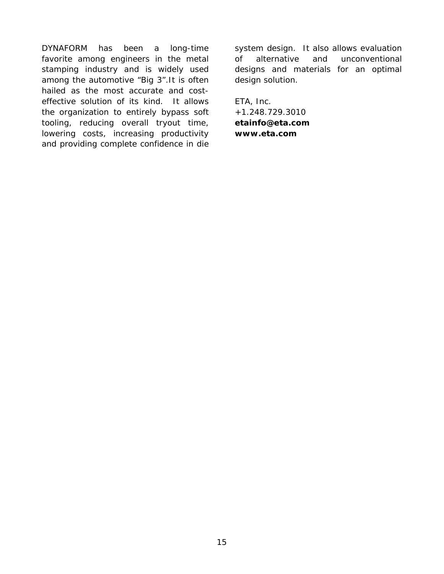DYNAFORM has been a long-time favorite among engineers in the metal stamping industry and is widely used among the automotive "Big 3".It is often hailed as the most accurate and costeffective solution of its kind. It allows the organization to entirely bypass soft tooling, reducing overall tryout time, lowering costs, increasing productivity and providing complete confidence in die

system design. It also allows evaluation of alternative and unconventional designs and materials for an optimal design solution.

ETA, Inc. +1.248.729.3010 **etainfo@eta.com www.eta.com**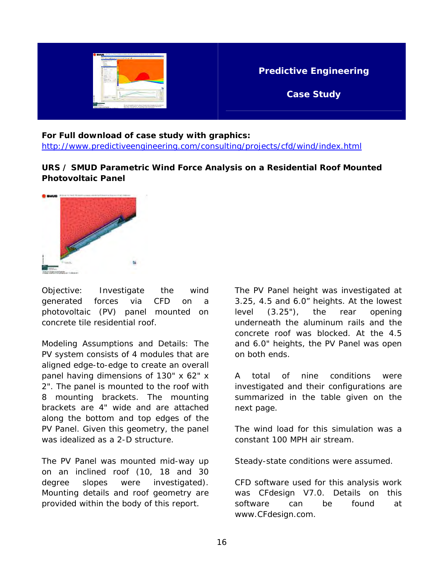

**For Full download of case study with graphics:** 

<http://www.predictiveengineering.com/consulting/projects/cfd/wind/index.html>

**URS / SMUD Parametric Wind Force Analysis on a Residential Roof Mounted Photovoltaic Panel** 



Objective: Investigate the wind generated forces via CFD on a photovoltaic (PV) panel mounted on concrete tile residential roof.

Modeling Assumptions and Details: The PV system consists of 4 modules that are aligned edge-to-edge to create an overall panel having dimensions of 130" x 62" x 2". The panel is mounted to the roof with 8 mounting brackets. The mounting brackets are 4" wide and are attached along the bottom and top edges of the PV Panel. Given this geometry, the panel was idealized as a 2-D structure.

The PV Panel was mounted mid-way up on an inclined roof (10, 18 and 30 degree slopes were investigated). Mounting details and roof geometry are provided within the body of this report.

The PV Panel height was investigated at 3.25, 4.5 and 6.0" heights. At the lowest level (3.25"), the rear opening underneath the aluminum rails and the concrete roof was blocked. At the 4.5 and 6.0" heights, the PV Panel was open on both ends.

A total of nine conditions were investigated and their configurations are summarized in the table given on the next page.

The wind load for this simulation was a constant 100 MPH air stream.

Steady-state conditions were assumed.

CFD software used for this analysis work was CFdesign V7.0. Details on this software can be found at www.CFdesign.com.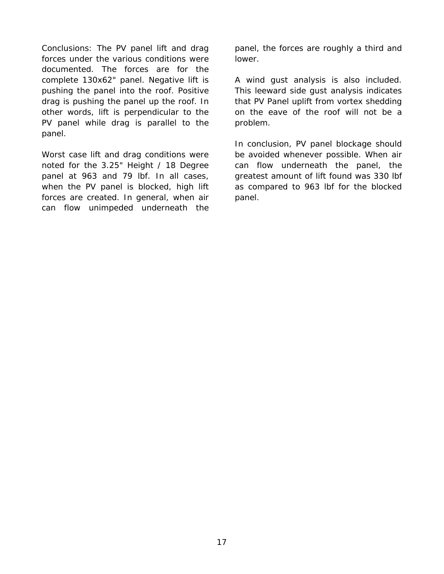Conclusions: The PV panel lift and drag forces under the various conditions were documented. The forces are for the complete 130x62" panel. Negative lift is pushing the panel into the roof. Positive drag is pushing the panel up the roof. In other words, lift is perpendicular to the PV panel while drag is parallel to the panel.

Worst case lift and drag conditions were noted for the 3.25" Height / 18 Degree panel at 963 and 79 lbf. In all cases, when the PV panel is blocked, high lift forces are created. In general, when air can flow unimpeded underneath the

panel, the forces are roughly a third and lower.

A wind gust analysis is also included. This leeward side gust analysis indicates that PV Panel uplift from vortex shedding on the eave of the roof will not be a problem.

In conclusion, PV panel blockage should be avoided whenever possible. When air can flow underneath the panel, the greatest amount of lift found was 330 lbf as compared to 963 lbf for the blocked panel.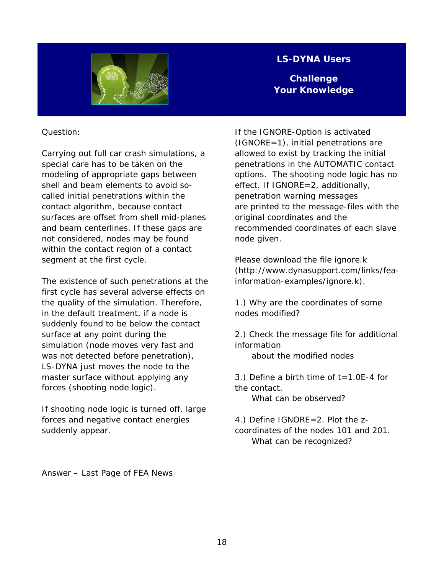

## **LS-DYNA Users**

**Challenge Your Knowledge**

### Question:

Carrying out full car crash simulations, a special care has to be taken on the modeling of appropriate gaps between shell and beam elements to avoid socalled initial penetrations within the contact algorithm, because contact surfaces are offset from shell mid-planes and beam centerlines. If these gaps are not considered, nodes may be found within the contact region of a contact segment at the first cycle.

The existence of such penetrations at the first cycle has several adverse effects on the quality of the simulation. Therefore, in the default treatment, if a node is suddenly found to be below the contact surface at any point during the simulation (node moves very fast and was not detected before penetration), LS-DYNA just moves the node to the master surface without applying any forces (shooting node logic).

If shooting node logic is turned off, large forces and negative contact energies suddenly appear.

If the IGNORE-Option is activated (IGNORE=1), initial penetrations are allowed to exist by tracking the initial penetrations in the AUTOMATIC contact options. The shooting node logic has no effect. If IGNORE=2, additionally, penetration warning messages are printed to the message-files with the original coordinates and the recommended coordinates of each slave node given.

Please download the file ignore.k (http://www.dynasupport.com/links/feainformation-examples/ignore.k).

1.) Why are the coordinates of some nodes modified?

2.) Check the message file for additional information

about the modified nodes

3.) Define a birth time of t=1.0E-4 for the contact. What can be observed?

4.) Define IGNORE=2. Plot the zcoordinates of the nodes 101 and 201. What can be recognized?

Answer – Last Page of FEA News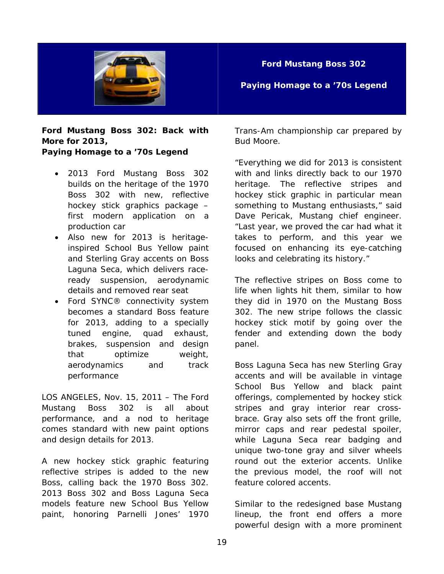

**Ford Mustang Boss 302** 

**Paying Homage to a '70s Legend**

### **Ford Mustang Boss 302: Back with More for 2013, Paying Homage to a '70s Legend**

- 2013 Ford Mustang Boss 302 builds on the heritage of the 1970 Boss 302 with new, reflective hockey stick graphics package – first modern application on a production car
- Also new for 2013 is heritageinspired School Bus Yellow paint and Sterling Gray accents on Boss Laguna Seca, which delivers raceready suspension, aerodynamic details and removed rear seat
- Ford SYNC® connectivity system becomes a standard Boss feature for 2013, adding to a specially tuned engine, quad exhaust, brakes, suspension and design that optimize weight, aerodynamics and track performance

LOS ANGELES, Nov. 15, 2011 – The Ford Mustang Boss 302 is all about performance, and a nod to heritage comes standard with new paint options and design details for 2013.

A new hockey stick graphic featuring reflective stripes is added to the new Boss, calling back the 1970 Boss 302. 2013 Boss 302 and Boss Laguna Seca models feature new School Bus Yellow paint, honoring Parnelli Jones' 1970

Trans-Am championship car prepared by Bud Moore.

"Everything we did for 2013 is consistent with and links directly back to our 1970 heritage. The reflective stripes and hockey stick graphic in particular mean something to Mustang enthusiasts," said Dave Pericak, Mustang chief engineer. "Last year, we proved the car had what it takes to perform, and this year we focused on enhancing its eye-catching looks and celebrating its history."

The reflective stripes on Boss come to life when lights hit them, similar to how they did in 1970 on the Mustang Boss 302. The new stripe follows the classic hockey stick motif by going over the fender and extending down the body panel.

Boss Laguna Seca has new Sterling Gray accents and will be available in vintage School Bus Yellow and black paint offerings, complemented by hockey stick stripes and gray interior rear crossbrace. Gray also sets off the front grille, mirror caps and rear pedestal spoiler, while Laguna Seca rear badging and unique two-tone gray and silver wheels round out the exterior accents. Unlike the previous model, the roof will not feature colored accents.

Similar to the redesigned base Mustang lineup, the front end offers a more powerful design with a more prominent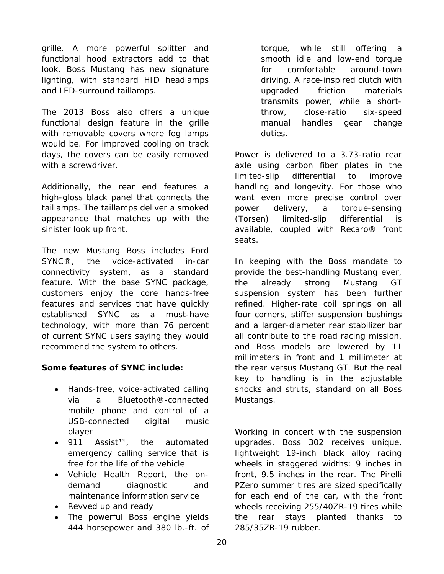grille. A more powerful splitter and functional hood extractors add to that look. Boss Mustang has new signature lighting, with standard HID headlamps and LED-surround taillamps.

The 2013 Boss also offers a unique functional design feature in the grille with removable covers where fog lamps would be. For improved cooling on track days, the covers can be easily removed with a screwdriver.

Additionally, the rear end features a high-gloss black panel that connects the taillamps. The taillamps deliver a smoked appearance that matches up with the sinister look up front.

The new Mustang Boss includes Ford SYNC®, the voice-activated in-car connectivity system, as a standard feature. With the base SYNC package, customers enjoy the core hands-free features and services that have quickly established SYNC as a must-have technology, with more than 76 percent of current SYNC users saying they would recommend the system to others.

### **Some features of SYNC include:**

- Hands-free, voice-activated calling via a Bluetooth®-connected mobile phone and control of a USB-connected digital music player
- 911 Assist™, the automated emergency calling service that is free for the life of the vehicle
- Vehicle Health Report, the ondemand diagnostic and maintenance information service
- Revved up and ready
- The powerful Boss engine yields 444 horsepower and 380 lb.-ft. of

torque, while still offering a smooth idle and low-end torque for comfortable around-town driving. A race-inspired clutch with upgraded friction materials transmits power, while a shortthrow, close-ratio six-speed manual handles gear change duties.

Power is delivered to a 3.73-ratio rear axle using carbon fiber plates in the limited-slip differential to improve handling and longevity. For those who want even more precise control over power delivery, a torque-sensing (Torsen) limited-slip differential is available, coupled with Recaro® front seats.

In keeping with the Boss mandate to provide the best-handling Mustang ever, the already strong Mustang GT suspension system has been further refined. Higher-rate coil springs on all four corners, stiffer suspension bushings and a larger-diameter rear stabilizer bar all contribute to the road racing mission, and Boss models are lowered by 11 millimeters in front and 1 millimeter at the rear versus Mustang GT. But the real key to handling is in the adjustable shocks and struts, standard on all Boss Mustangs.

Working in concert with the suspension upgrades, Boss 302 receives unique, lightweight 19-inch black alloy racing wheels in staggered widths: 9 inches in front, 9.5 inches in the rear. The Pirelli PZero summer tires are sized specifically for each end of the car, with the front wheels receiving 255/40ZR-19 tires while the rear stays planted thanks to 285/35ZR-19 rubber.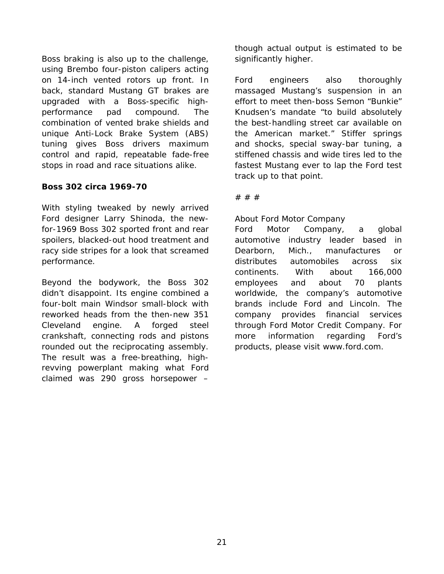Boss braking is also up to the challenge, using Brembo four-piston calipers acting on 14-inch vented rotors up front. In back, standard Mustang GT brakes are upgraded with a Boss-specific highperformance pad compound. The combination of vented brake shields and unique Anti-Lock Brake System (ABS) tuning gives Boss drivers maximum control and rapid, repeatable fade-free stops in road and race situations alike.

### **Boss 302 circa 1969-70**

With styling tweaked by newly arrived Ford designer Larry Shinoda, the newfor-1969 Boss 302 sported front and rear spoilers, blacked-out hood treatment and racy side stripes for a look that screamed performance.

Beyond the bodywork, the Boss 302 didn't disappoint. Its engine combined a four-bolt main Windsor small-block with reworked heads from the then-new 351 Cleveland engine. A forged steel crankshaft, connecting rods and pistons rounded out the reciprocating assembly. The result was a free-breathing, highrevving powerplant making what Ford claimed was 290 gross horsepower –

though actual output is estimated to be significantly higher.

Ford engineers also thoroughly massaged Mustang's suspension in an effort to meet then-boss Semon "Bunkie" Knudsen's mandate "to build absolutely the best-handling street car available on the American market." Stiffer springs and shocks, special sway-bar tuning, a stiffened chassis and wide tires led to the fastest Mustang ever to lap the Ford test track up to that point.

### # # #

About Ford Motor Company

Ford Motor Company, a global automotive industry leader based in Dearborn, Mich., manufactures or distributes automobiles across six continents. With about 166,000 employees and about 70 plants worldwide, the company's automotive brands include Ford and Lincoln. The company provides financial services through Ford Motor Credit Company. For more information regarding Ford's products, please visit www.ford.com.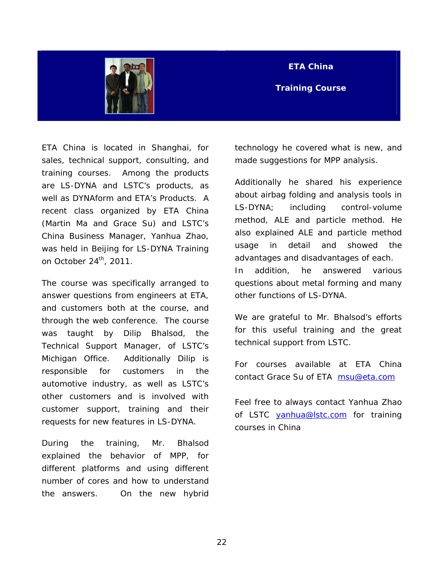

**ETA China** 

**Training Course** 

ETA China is located in Shanghai, for sales, technical support, consulting, and training courses. Among the products are LS-DYNA and LSTC's products, as well as DYNAform and ETA's Products. A recent class organized by ETA China (Martin Ma and Grace Su) and LSTC's China Business Manager, Yanhua Zhao, was held in Beijing for LS-DYNA Training on October 24<sup>th</sup>, 2011.

The course was specifically arranged to answer questions from engineers at ETA, and customers both at the course, and through the web conference. The course was taught by Dilip Bhalsod, the Technical Support Manager, of LSTC's Michigan Office. Additionally Dilip is responsible for customers in the automotive industry, as well as LSTC's other customers and is involved with customer support, training and their requests for new features in LS-DYNA.

During the training, Mr. Bhalsod explained the behavior of MPP, for different platforms and using different number of cores and how to understand the answers. On the new hybrid

technology he covered what is new, and made suggestions for MPP analysis.

Additionally he shared his experience about airbag folding and analysis tools in LS-DYNA; including control-volume method, ALE and particle method. He also explained ALE and particle method usage in detail and showed the advantages and disadvantages of each. In addition, he answered various questions about metal forming and many other functions of LS-DYNA.

We are grateful to Mr. Bhalsod's efforts for this useful training and the great technical support from LSTC.

For courses available at ETA China contact Grace Su of ETA msu@eta.com

Feel free to always contact Yanhua Zhao of LSTC [yanhua@lstc.com](mailto:yanhua@lstc.com) for training courses in China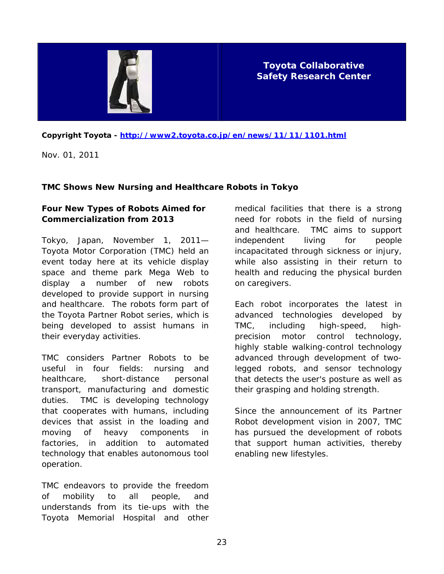

## **Toyota Collaborative Safety Research Center**

**Copyright Toyota - <http://www2.toyota.co.jp/en/news/11/11/1101.html>**

Nov. 01, 2011

### **TMC Shows New Nursing and Healthcare Robots in Tokyo**

### **Four New Types of Robots Aimed for Commercialization from 2013**

Tokyo, Japan, November 1, 2011— Toyota Motor Corporation (TMC) held an event today here at its vehicle display space and theme park Mega Web to display a number of new robots developed to provide support in nursing and healthcare. The robots form part of the Toyota Partner Robot series, which is being developed to assist humans in their everyday activities.

TMC considers Partner Robots to be useful in four fields: nursing and healthcare, short-distance personal transport, manufacturing and domestic duties. TMC is developing technology that cooperates with humans, including devices that assist in the loading and moving of heavy components in factories, in addition to automated technology that enables autonomous tool operation.

TMC endeavors to provide the freedom of mobility to all people, and understands from its tie-ups with the Toyota Memorial Hospital and other

medical facilities that there is a strong need for robots in the field of nursing and healthcare. TMC aims to support independent living for people incapacitated through sickness or injury, while also assisting in their return to health and reducing the physical burden on caregivers.

Each robot incorporates the latest in advanced technologies developed by TMC, including high-speed, highprecision motor control technology, highly stable walking-control technology advanced through development of twolegged robots, and sensor technology that detects the user's posture as well as their grasping and holding strength.

Since the announcement of its Partner Robot development vision in 2007, TMC has pursued the development of robots that support human activities, thereby enabling new lifestyles.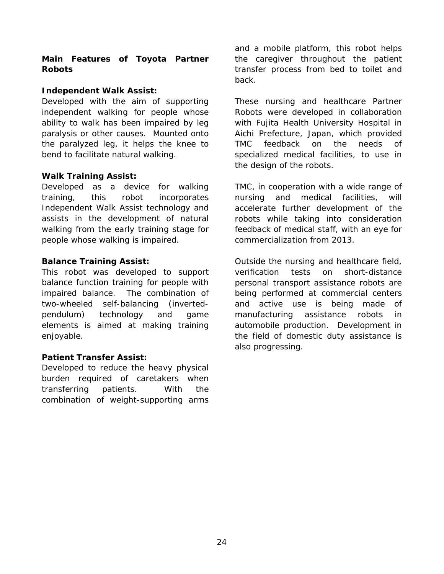### **Main Features of Toyota Partner Robots**

### **Independent Walk Assist:**

Developed with the aim of supporting independent walking for people whose ability to walk has been impaired by leg paralysis or other causes. Mounted onto the paralyzed leg, it helps the knee to bend to facilitate natural walking.

### **Walk Training Assist:**

Developed as a device for walking training, this robot incorporates Independent Walk Assist technology and assists in the development of natural walking from the early training stage for people whose walking is impaired.

### **Balance Training Assist:**

This robot was developed to support balance function training for people with impaired balance. The combination of two-wheeled self-balancing (invertedpendulum) technology and game elements is aimed at making training enjoyable.

### **Patient Transfer Assist:**

Developed to reduce the heavy physical burden required of caretakers when transferring patients. With the combination of weight-supporting arms

and a mobile platform, this robot helps the caregiver throughout the patient transfer process from bed to toilet and back.

These nursing and healthcare Partner Robots were developed in collaboration with Fujita Health University Hospital in Aichi Prefecture, Japan, which provided TMC feedback on the needs of specialized medical facilities, to use in the design of the robots.

TMC, in cooperation with a wide range of nursing and medical facilities, will accelerate further development of the robots while taking into consideration feedback of medical staff, with an eye for commercialization from 2013.

Outside the nursing and healthcare field, verification tests on short-distance personal transport assistance robots are being performed at commercial centers and active use is being made of manufacturing assistance robots in automobile production. Development in the field of domestic duty assistance is also progressing.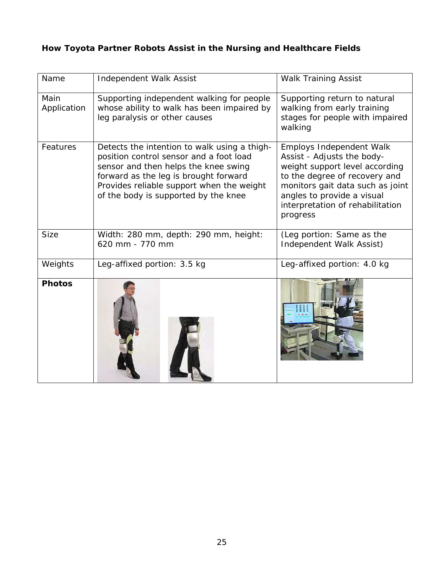## **How Toyota Partner Robots Assist in the Nursing and Healthcare Fields**

| Name                | Independent Walk Assist                                                                                                                                                                                                                                       | <b>Walk Training Assist</b>                                                                                                                                                                                                                 |
|---------------------|---------------------------------------------------------------------------------------------------------------------------------------------------------------------------------------------------------------------------------------------------------------|---------------------------------------------------------------------------------------------------------------------------------------------------------------------------------------------------------------------------------------------|
| Main<br>Application | Supporting independent walking for people<br>whose ability to walk has been impaired by<br>leg paralysis or other causes                                                                                                                                      | Supporting return to natural<br>walking from early training<br>stages for people with impaired<br>walking                                                                                                                                   |
| Features            | Detects the intention to walk using a thigh-<br>position control sensor and a foot load<br>sensor and then helps the knee swing<br>forward as the leg is brought forward<br>Provides reliable support when the weight<br>of the body is supported by the knee | Employs Independent Walk<br>Assist - Adjusts the body-<br>weight support level according<br>to the degree of recovery and<br>monitors gait data such as joint<br>angles to provide a visual<br>interpretation of rehabilitation<br>progress |
| <b>Size</b>         | Width: 280 mm, depth: 290 mm, height:<br>620 mm - 770 mm                                                                                                                                                                                                      | (Leg portion: Same as the<br>Independent Walk Assist)                                                                                                                                                                                       |
| Weights             | Leg-affixed portion: 3.5 kg                                                                                                                                                                                                                                   | Leg-affixed portion: 4.0 kg                                                                                                                                                                                                                 |
| <b>Photos</b>       |                                                                                                                                                                                                                                                               |                                                                                                                                                                                                                                             |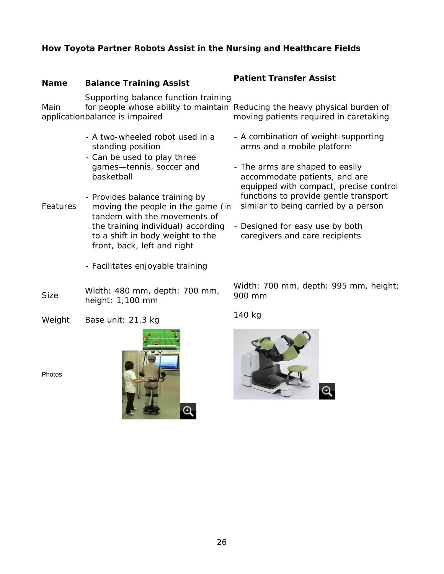### **How Toyota Partner Robots Assist in the Nursing and Healthcare Fields**

## **Name Balance Training Assist Patient Transfer Assist**

Main application balance is impaired Supporting balance function training for people whose ability to maintain Reducing the heavy physical burden of moving patients required in caretaking

- A two-wheeled robot used in a standing position
- Can be used to play three games—tennis, soccer and basketball
- Features - Provides balance training by the training individual) according to a shift in body weight to the front, back, left and right moving the people in the game (in tandem with the movements of

- Facilitates enjoyable training

- $Size$  Width: 480 mm, depth: 700 mm, height: 1,100 mm
- Weight Base unit: 21.3 kg

- A combination of weight-supporting arms and a mobile platform

- The arms are shaped to easily accommodate patients, and are equipped with compact, precise control functions to provide gentle transport similar to being carried by a person
- Designed for easy use by both caregivers and care recipients

Width: 700 mm, depth: 995 mm, height: 00 mm 9

140 kg



Photos

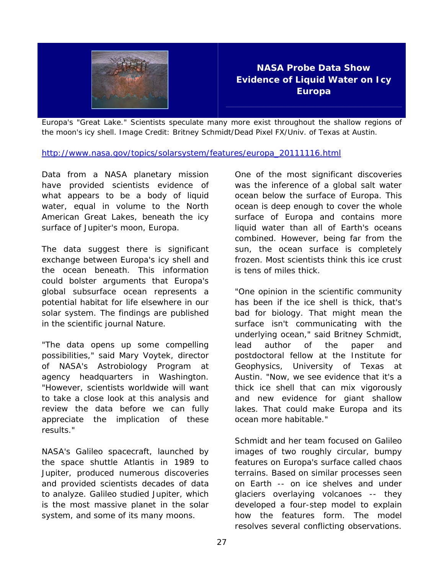

## **NASA Probe Data Show Evidence of Liquid Water on Icy Europa**

Europa's "Great Lake." Scientists speculate many more exist throughout the shallow regions of the moon's icy shell. Image Credit: Britney Schmidt/Dead Pixel FX/Univ. of Texas at Austin.

[http://www.nasa.gov/topics/solarsystem/features/europa\\_20111116.html](http://www.nasa.gov/topics/solarsystem/features/europa_20111116.html)

Data from a NASA planetary mission have provided scientists evidence of what appears to be a body of liquid water, equal in volume to the North American Great Lakes, beneath the icy surface of Jupiter's moon, Europa.

The data suggest there is significant exchange between Europa's icy shell and the ocean beneath. This information could bolster arguments that Europa's global subsurface ocean represents a potential habitat for life elsewhere in our solar system. The findings are published in the scientific journal Nature.

"The data opens up some compelling possibilities," said Mary Voytek, director of NASA's Astrobiology Program at agency headquarters in Washington. "However, scientists worldwide will want to take a close look at this analysis and review the data before we can fully appreciate the implication of these results."

NASA's Galileo spacecraft, launched by the space shuttle Atlantis in 1989 to Jupiter, produced numerous discoveries and provided scientists decades of data to analyze. Galileo studied Jupiter, which is the most massive planet in the solar system, and some of its many moons.

One of the most significant discoveries was the inference of a global salt water ocean below the surface of Europa. This ocean is deep enough to cover the whole surface of Europa and contains more liquid water than all of Earth's oceans combined. However, being far from the sun, the ocean surface is completely frozen. Most scientists think this ice crust is tens of miles thick.

"One opinion in the scientific community has been if the ice shell is thick, that's bad for biology. That might mean the surface isn't communicating with the underlying ocean," said Britney Schmidt, lead author of the paper and postdoctoral fellow at the Institute for Geophysics, University of Texas at Austin. "Now, we see evidence that it's a thick ice shell that can mix vigorously and new evidence for giant shallow lakes. That could make Europa and its ocean more habitable."

Schmidt and her team focused on Galileo images of two roughly circular, bumpy features on Europa's surface called chaos terrains. Based on similar processes seen on Earth -- on ice shelves and under glaciers overlaying volcanoes -- they developed a four-step model to explain how the features form. The model resolves several conflicting observations.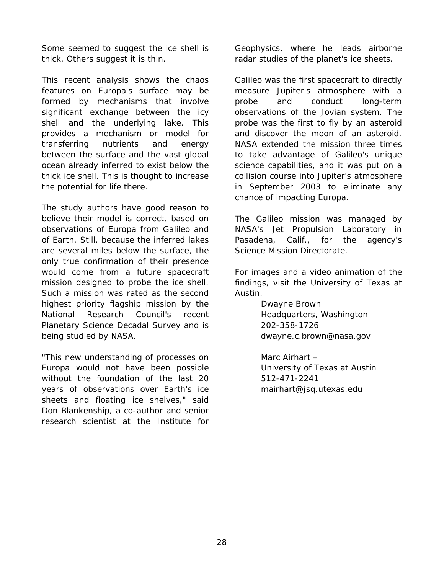Some seemed to suggest the ice shell is thick. Others suggest it is thin.

This recent analysis shows the chaos features on Europa's surface may be formed by mechanisms that involve significant exchange between the icy shell and the underlying lake. This provides a mechanism or model for transferring nutrients and energy between the surface and the vast global ocean already inferred to exist below the thick ice shell. This is thought to increase the potential for life there.

The study authors have good reason to believe their model is correct, based on observations of Europa from Galileo and of Earth. Still, because the inferred lakes are several miles below the surface, the only true confirmation of their presence would come from a future spacecraft mission designed to probe the ice shell. Such a mission was rated as the second highest priority flagship mission by the National Research Council's recent Planetary Science Decadal Survey and is being studied by NASA.

"This new understanding of processes on Europa would not have been possible without the foundation of the last 20 years of observations over Earth's ice sheets and floating ice shelves," said Don Blankenship, a co-author and senior research scientist at the Institute for

Geophysics, where he leads airborne radar studies of the planet's ice sheets.

Galileo was the first spacecraft to directly measure Jupiter's atmosphere with a probe and conduct long-term observations of the Jovian system. The probe was the first to fly by an asteroid and discover the moon of an asteroid. NASA extended the mission three times to take advantage of Galileo's unique science capabilities, and it was put on a collision course into Jupiter's atmosphere in September 2003 to eliminate any chance of impacting Europa.

The Galileo mission was managed by NASA's Jet Propulsion Laboratory in Pasadena, Calif., for the agency's Science Mission Directorate.

For images and a video animation of the findings, visit the University of Texas at Austin.

> Dwayne Brown Headquarters, Washington 202-358-1726 dwayne.c.brown@nasa.gov

Marc Airhart – University of Texas at Austin 512-471-2241 mairhart@jsq.utexas.edu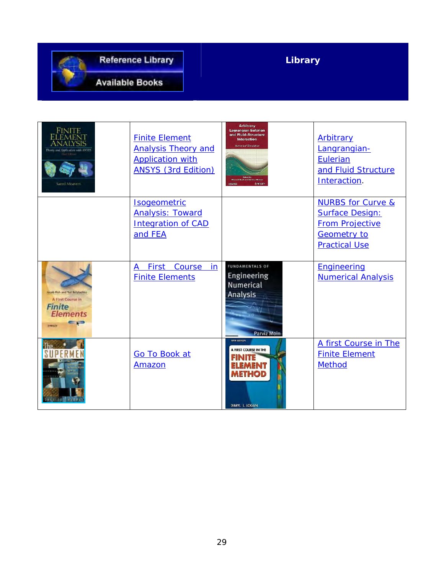

**Reference Library** 

## **Available Books**

## **Library**

| FINITE<br>Indication with ANSYS<br>Sared Moavert                                                       | <b>Finite Element</b><br><b>Analysis Theory and</b><br><b>Application with</b><br><b>ANSYS (3rd Edition)</b> | <b>Arbitrary</b><br>Lagrangian-Eulerian<br>and Fluid-Structure<br><b>Interaction</b><br><b>Numerical Simulation</b><br>Edited by<br>illi and Bavid J. Bens.<br><b>WWILEY</b><br>$=$ | <b>Arbitrary</b><br>Langrangian-<br><b>Eulerian</b><br>and Fluid Structure<br>Interaction.                                     |
|--------------------------------------------------------------------------------------------------------|--------------------------------------------------------------------------------------------------------------|-------------------------------------------------------------------------------------------------------------------------------------------------------------------------------------|--------------------------------------------------------------------------------------------------------------------------------|
|                                                                                                        | Isogeometric<br><b>Analysis: Toward</b><br><b>Integration of CAD</b><br>and FEA                              |                                                                                                                                                                                     | <b>NURBS for Curve &amp;</b><br><b>Surface Design:</b><br><b>From Projective</b><br><b>Geometry to</b><br><b>Practical Use</b> |
| Jacob Fish and Ted Relytachko<br>A First Course in<br>Finite<br><b>Elements</b><br>--<br><b>HARLEY</b> | First<br>Course<br>A<br>in<br><b>Finite Elements</b>                                                         | <b>FUNDAMENTALS OF</b><br>Engineering<br>Numerical<br><b>Analysis</b><br>Parviz Moin                                                                                                | Engineering<br><b>Numerical Analysis</b>                                                                                       |
|                                                                                                        | Go To Book at<br>Amazon                                                                                      | FIFTH EDITION<br>A FIRST COURSE IN THE<br>EMENI<br><b>METHOD</b><br>DARYL L. LOGAN                                                                                                  | A first Course in The<br><b>Finite Element</b><br><b>Method</b>                                                                |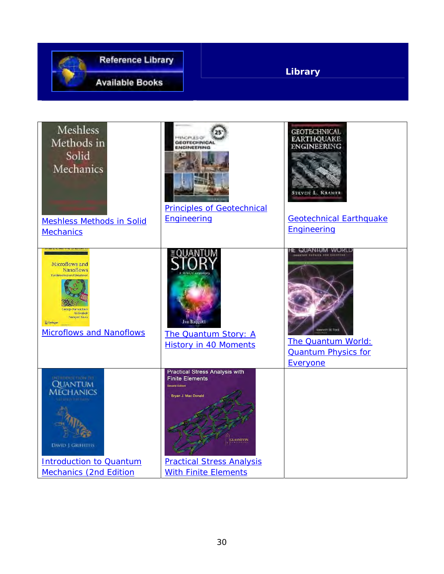

**Library**

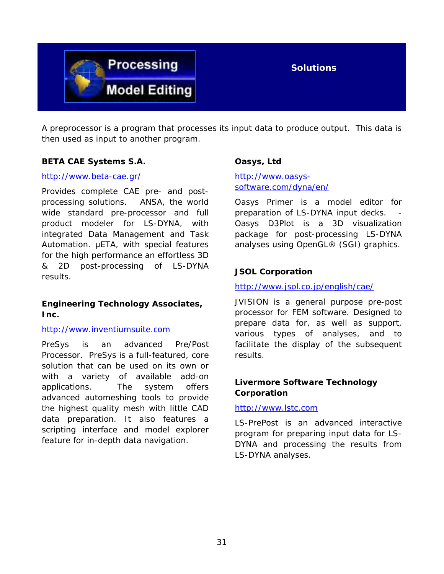

**Solutions** 

A preprocessor is a program that processes its input data to produce output. This data is then used as input to another program.

### **BETA CAE Systems S.A.**

### <http://www.beta-cae.gr/>

Provides complete CAE pre- and postprocessing solutions. ANSA, the world wide standard pre-processor and full product modeler for LS-DYNA, with integrated Data Management and Task Automation. μETA, with special features for the high performance an effortless 3D & 2D post-processing of LS-DYNA results.

### **Engineering Technology Associates, Inc.**

### [http://www.inventiumsuite.com](http://www.inventiumsuite.com/)

PreSys is an advanced Pre/Post Processor. PreSys is a full-featured, core solution that can be used on its own or with a variety of available add-on applications. The system offers advanced automeshing tools to provide the highest quality mesh with little CAD data preparation. It also features a scripting interface and model explorer feature for in-depth data navigation.

### **Oasys, Ltd**

### [http://www.oasys](http://www.oasys-software.com/dyna/en/)[software.com/dyna/en/](http://www.oasys-software.com/dyna/en/)

Oasys Primer is a model editor for preparation of LS-DYNA input decks. Oasys D3Plot is a 3D visualization package for post-processing LS-DYNA analyses using OpenGL® (SGI) graphics.

### **JSOL Corporation**

### <http://www.jsol.co.jp/english/cae/>

JVISION is a general purpose pre-post processor for FEM software. Designed to prepare data for, as well as support, various types of analyses, and to facilitate the display of the subsequent results.

### **Livermore Software Technology Corporation**

### [http://www.lstc.com](http://www.lstc.com/)

LS-PrePost is an advanced interactive program for preparing input data for LS-DYNA and processing the results from LS-DYNA analyses.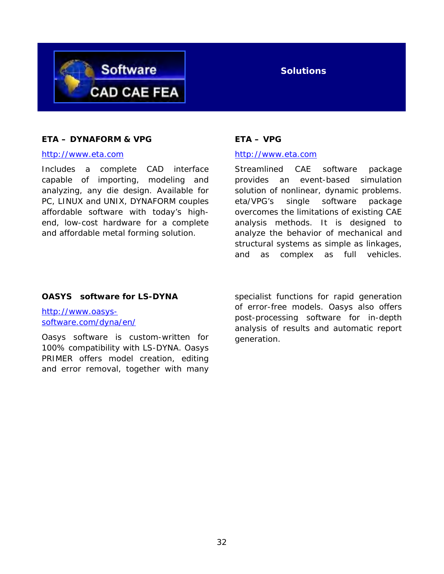

### **Solutions**

### **ETA – DYNAFORM & VPG**

### [http://www.eta.com](http://www.eta.com/)

Includes a complete CAD interface capable of importing, modeling and analyzing, any die design. Available for PC, LINUX and UNIX, DYNAFORM couples affordable software with today's highend, low-cost hardware for a complete and affordable metal forming solution.

### **ETA – VPG**

### [http://www.eta.com](http://www.eta.com/)

Streamlined CAE software package provides an event-based simulation solution of nonlinear, dynamic problems. eta/VPG's single software package overcomes the limitations of existing CAE analysis methods. It is designed to analyze the behavior of mechanical and structural systems as simple as linkages, and as complex as full vehicles.

### **OASYS software for LS-DYNA**

[http://www.oasys](http://www.oasys-software.com/dyna/en/)[software.com/dyna/en/](http://www.oasys-software.com/dyna/en/) 

Oasys software is custom-written for 100% compatibility with LS-DYNA. Oasys PRIMER offers model creation, editing and error removal, together with many

specialist functions for rapid generation of error-free models. Oasys also offers post-processing software for in-depth analysis of results and automatic report generation.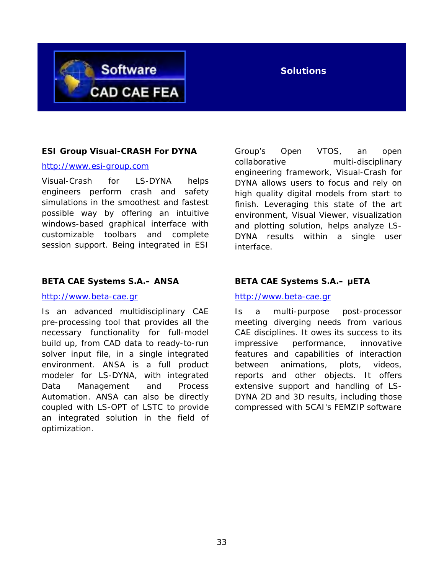

### **Solutions**

### **ESI Group Visual-CRASH For DYNA**

#### [http://www.esi-group.com](http://www.esi-group.com/)

Visual-Crash for LS-DYNA helps engineers perform crash and safety simulations in the smoothest and fastest possible way by offering an intuitive windows-based graphical interface with customizable toolbars and complete session support. Being integrated in ESI

### **BETA CAE Systems S.A.– ANSA**

### [http://www.beta-cae.gr](http://www.beta-cae.gr/)

Is an advanced multidisciplinary CAE pre-processing tool that provides all the necessary functionality for full-model build up, from CAD data to ready-to-run solver input file, in a single integrated environment. ANSA is a full product modeler for LS-DYNA, with integrated Data Management and Process Automation. ANSA can also be directly coupled with LS-OPT of LSTC to provide an integrated solution in the field of optimization.

Group's Open VTOS, an open collaborative multi-disciplinary engineering framework, Visual-Crash for DYNA allows users to focus and rely on high quality digital models from start to finish. Leveraging this state of the art environment, Visual Viewer, visualization and plotting solution, helps analyze LS-DYNA results within a single user interface.

### **BETA CAE Systems S.A.– μETA**

### [http://www.beta-cae.gr](http://www.beta-cae.gr/)

Is a multi-purpose post-processor meeting diverging needs from various CAE disciplines. It owes its success to its impressive performance, innovative features and capabilities of interaction between animations, plots, videos, reports and other objects. It offers extensive support and handling of LS-DYNA 2D and 3D results, including those compressed with SCAI's FEMZIP software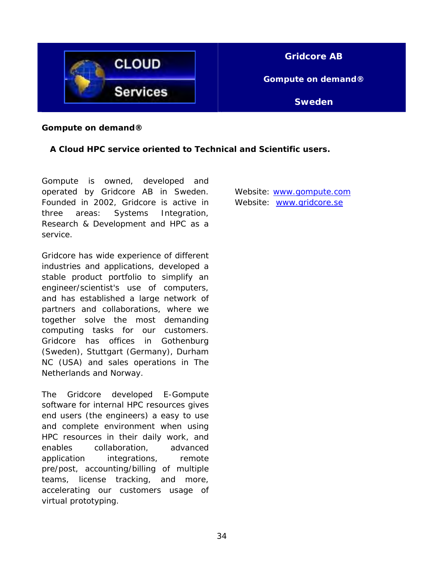

### **Gompute on demand®**

### **A Cloud HPC service oriented to Technical and Scientific users.**

Gompute is owned, developed and operated by Gridcore AB in Sweden. Founded in 2002, Gridcore is active in three areas: Systems Integration, Research & Development and HPC as a service.

Gridcore has wide experience of different industries and applications, developed a stable product portfolio to simplify an engineer/scientist's use of computers, and has established a large network of partners and collaborations, where we together solve the most demanding computing tasks for our customers. Gridcore has offices in Gothenburg (Sweden), Stuttgart (Germany), Durham NC (USA) and sales operations in The Netherlands and Norway.

The Gridcore developed E-Gompute software for internal HPC resources gives end users (the engineers) a easy to use and complete environment when using HPC resources in their daily work, and enables collaboration, advanced application integrations, remote pre/post, accounting/billing of multiple teams, license tracking, and more, accelerating our customers usage of virtual prototyping.

Website: [www.gompute.com](http://www.gompute.com/)  Website: [www.gridcore.se](http://www.gridcore.se/)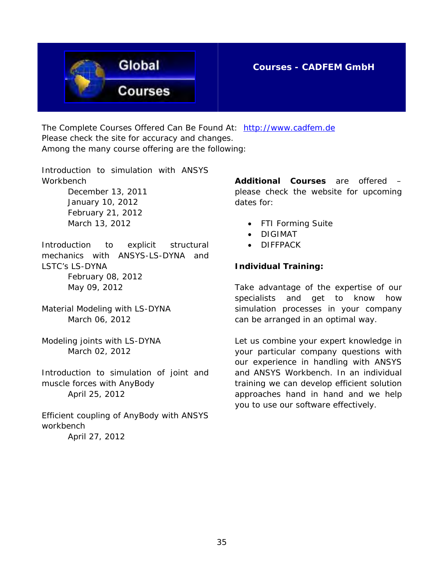

The Complete Courses Offered Can Be Found At: [http://www.cadfem.de](http://www.cadfem.de/) Please check the site for accuracy and changes.

Among the many course offering are the following:

Introduction to simulation with ANSYS **Workbench** 

> December 13, 2011 January 10, 2012 February 21, 2012 March 13, 2012

Introduction to explicit structural mechanics with ANSYS-LS-DYNA and LSTC's LS-DYNA February 08, 2012 May 09, 2012

Material Modeling with LS-DYNA March 06, 2012

Modeling joints with LS-DYNA March 02, 2012

Introduction to simulation of joint and muscle forces with AnyBody April 25, 2012

Efficient coupling of AnyBody with ANSYS workbench April 27, 2012

**Additional Courses** are offered – please check the website for upcoming dates for:

- FTI Forming Suite
- DIGIMAT
- DIFFPACK

## **Individual Training:**

Take advantage of the expertise of our specialists and get to know how simulation processes in your company can be arranged in an optimal way.

Let us combine your expert knowledge in your particular company questions with our experience in handling with ANSYS and ANSYS Workbench. In an individual training we can develop efficient solution approaches hand in hand and we help you to use our software effectively.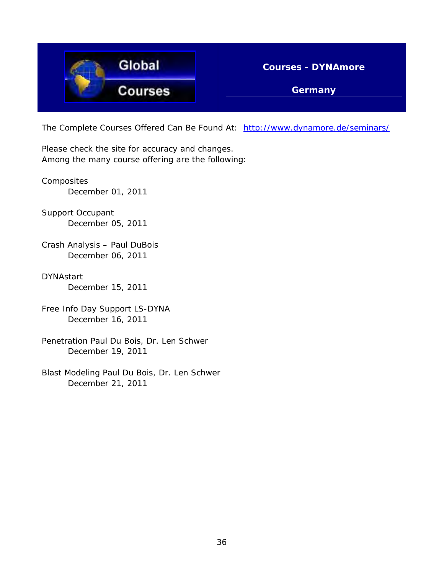

The Complete Courses Offered Can Be Found At: http://www.dynamore.de/seminars/

Please check the site for accuracy and changes. Among the many course offering are the following:

**Composites** December 01, 2011

Support Occupant December 05, 2011

Crash Analysis – Paul DuBois December 06, 2011

**DYNAstart** December 15, 2011

Free Info Day Support LS-DYNA December 16, 2011

Penetration Paul Du Bois, Dr. Len Schwer December 19, 2011

Blast Modeling Paul Du Bois, Dr. Len Schwer December 21, 2011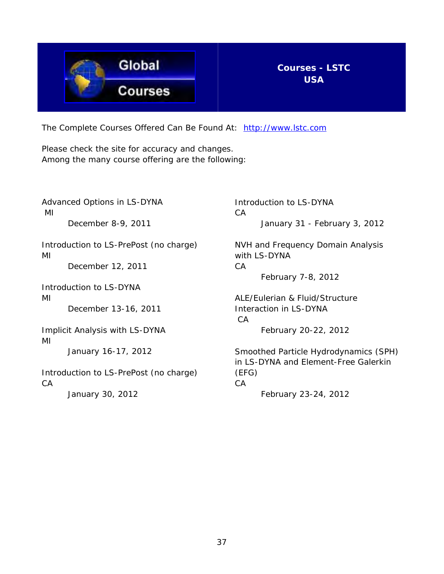

The Complete Courses Offered Can Be Found At: [http://www.lstc.com](http://www.lstc.com/)

Please check the site for accuracy and changes. Among the many course offering are the following:

Advanced Options in LS-DYNA MI December 8-9, 2011 Introduction to LS-PrePost (no charge) MI December 12, 2011 Introduction to LS-DYNA MI December 13-16, 2011 Implicit Analysis with LS-DYNA MI January 16-17, 2012 Introduction to LS-PrePost (no charge) CA January 30, 2012 Introduction to LS-DYNA CA January 31 - February 3, 2012 NVH and Frequency Domain Analysis with LS-DYNA CA February 7-8, 2012 ALE/Eulerian & Fluid/Structure Interaction in LS-DYNA CA February 20-22, 2012 Smoothed Particle Hydrodynamics (SPH) in LS-DYNA and Element-Free Galerkin (EFG) CA February 23-24, 2012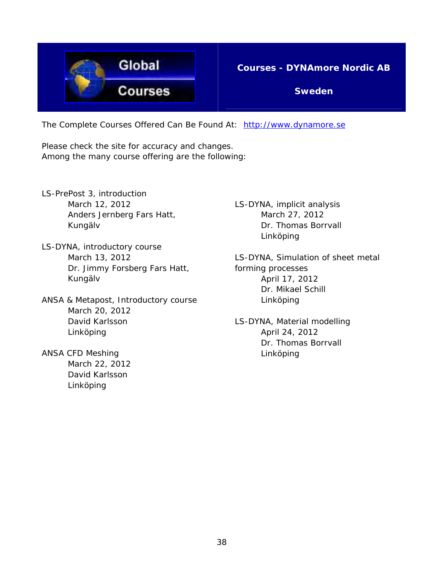

### **Courses - DYNAmore Nordic AB**

**Sweden** 

The Complete Courses Offered Can Be Found At: [http://www.dynamore.se](http://www.dynamore.se/)

Please check the site for accuracy and changes. Among the many course offering are the following:

- LS-PrePost 3, introduction March 12, 2012 Anders Jernberg Fars Hatt, Kungälv
- LS-DYNA, introductory course March 13, 2012 Dr. Jimmy Forsberg Fars Hatt, Kungälv
- ANSA & Metapost, Introductory course March 20, 2012 David Karlsson Linköping
- ANSA CFD Meshing March 22, 2012 David Karlsson Linköping

LS-DYNA, implicit analysis March 27, 2012 Dr. Thomas Borrvall Linköping

LS-DYNA, Simulation of sheet metal forming processes April 17, 2012 Dr. Mikael Schill Linköping

LS-DYNA, Material modelling April 24, 2012 Dr. Thomas Borrvall Linköping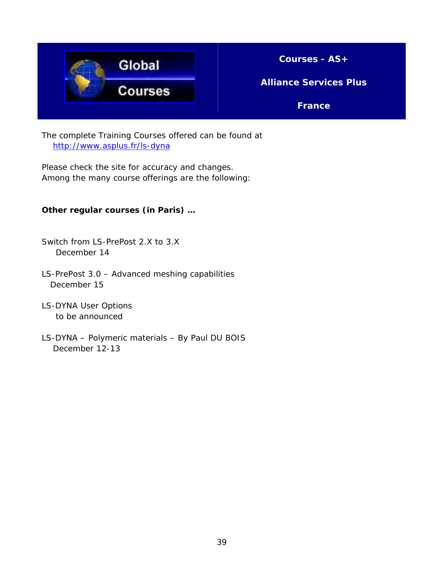

The complete Training Courses offered can be found at <http://www.asplus.fr/ls-dyna>

Please check the site for accuracy and changes. Among the many course offerings are the following:

### **Other regular courses (in Paris) …**

- Switch from LS-PrePost 2.X to 3.X December 14
- LS-PrePost 3.0 Advanced meshing capabilities December 15
- LS-DYNA User Options to be announced
- LS-DYNA Polymeric materials By Paul DU BOIS December 12-13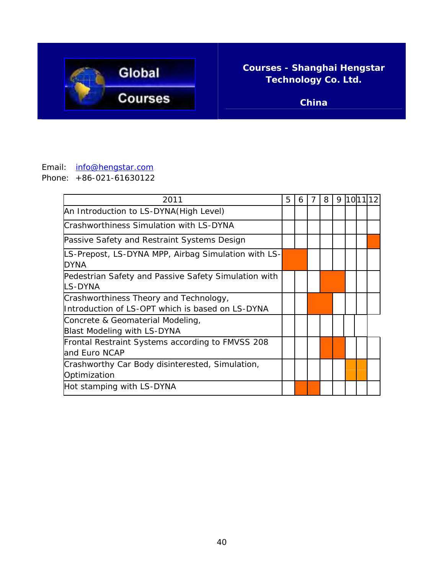

## **Courses - Shanghai Hengstar Technology Co. Ltd.**

**China** 

Email: [info@hengstar.com](mailto:info@hengstar.com)  Phone: +86-021-61630122

| 2011                                                                                       | 5 | 6 | 8 | 9 | 1011 |  |
|--------------------------------------------------------------------------------------------|---|---|---|---|------|--|
| An Introduction to LS-DYNA (High Level)                                                    |   |   |   |   |      |  |
| Crashworthiness Simulation with LS-DYNA                                                    |   |   |   |   |      |  |
| Passive Safety and Restraint Systems Design                                                |   |   |   |   |      |  |
| LS-Prepost, LS-DYNA MPP, Airbag Simulation with LS-<br><b>DYNA</b>                         |   |   |   |   |      |  |
| Pedestrian Safety and Passive Safety Simulation with<br>LS-DYNA                            |   |   |   |   |      |  |
| Crashworthiness Theory and Technology,<br>Introduction of LS-OPT which is based on LS-DYNA |   |   |   |   |      |  |
| Concrete & Geomaterial Modeling,<br><b>Blast Modeling with LS-DYNA</b>                     |   |   |   |   |      |  |
| Frontal Restraint Systems according to FMVSS 208<br>and Euro NCAP                          |   |   |   |   |      |  |
| Crashworthy Car Body disinterested, Simulation,<br>Optimization                            |   |   |   |   |      |  |
| Hot stamping with LS-DYNA                                                                  |   |   |   |   |      |  |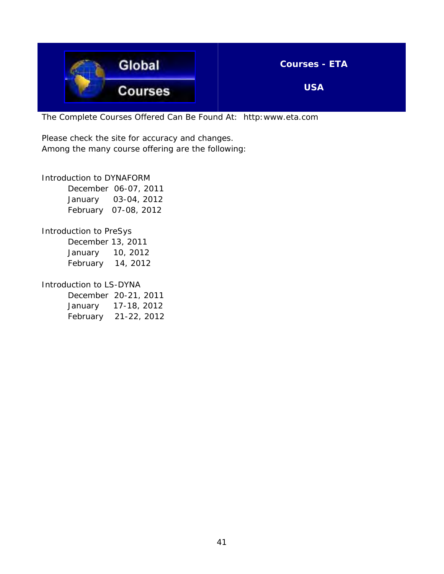

The Complete Courses Offered Can Be Found At: http:www.eta.com

Please check the site for accuracy and changes. Among the many course offering are the following:

Introduction to DYNAFORM December 06-07, 2011 January 03-04, 2012 February 07-08, 2012 Introduction to PreSys December 13, 2011 January 10, 2012 February 14, 2012 Introduction to LS-DYNA December 20-21, 2011 January 17-18, 2012

February 21-22, 2012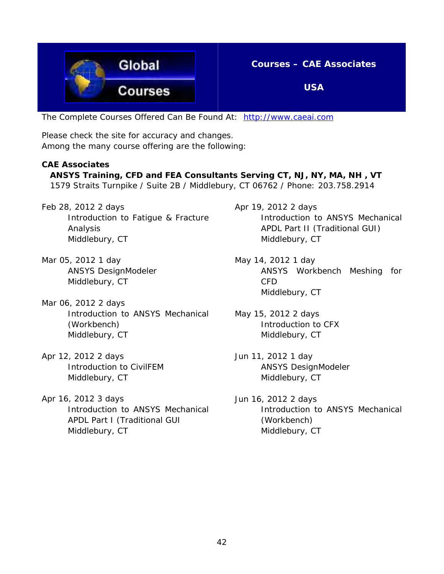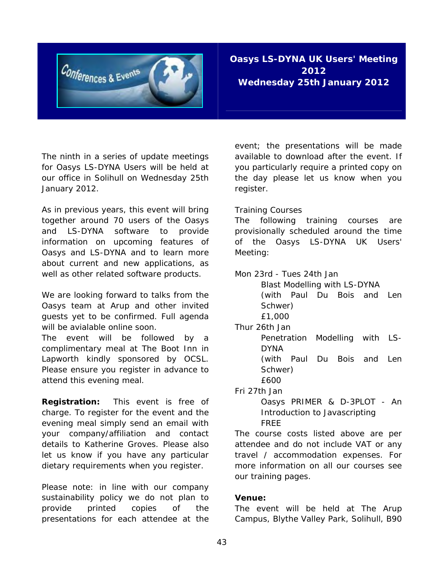

**Oasys LS-DYNA UK Users' Meeting 2012 Wednesday 25th January 2012** 

The ninth in a series of update meetings for Oasys LS-DYNA Users will be held at our office in Solihull on Wednesday 25th January 2012.

As in previous years, this event will bring together around 70 users of the Oasys and LS-DYNA software to provide information on upcoming features of Oasys and LS-DYNA and to learn more about current and new applications, as well as other related software products.

We are looking forward to talks from the Oasys team at Arup and other invited guests yet to be confirmed. Full agenda will be avialable online soon.

The event will be followed by a complimentary meal at The Boot Inn in Lapworth kindly sponsored by OCSL. Please ensure you register in advance to attend this evening meal.

**Registration:** This event is free of charge. To register for the event and the evening meal simply send an email with your company/affiliation and contact details to Katherine Groves. Please also let us know if you have any particular dietary requirements when you register.

Please note: in line with our company sustainability policy we do not plan to provide printed copies of the presentations for each attendee at the

event; the presentations will be made available to download after the event. If you particularly require a printed copy on the day please let us know when you register.

### Training Courses

The following training courses are provisionally scheduled around the time of the Oasys LS-DYNA UK Users' Meeting:

Mon 23rd - Tues 24th Jan

Blast Modelling with LS-DYNA (with Paul Du Bois and Len Schwer)

£1,000

Thur 26th Jan

Penetration Modelling with LS-DYNA

(with Paul Du Bois and Len Schwer)

- £600
- Fri 27th Jan

Oasys PRIMER & D-3PLOT - An Introduction to Javascripting FREE

The course costs listed above are per attendee and do not include VAT or any travel / accommodation expenses. For more information on all our courses see our training pages.

### **Venue:**

The event will be held at The Arup Campus, Blythe Valley Park, Solihull, B90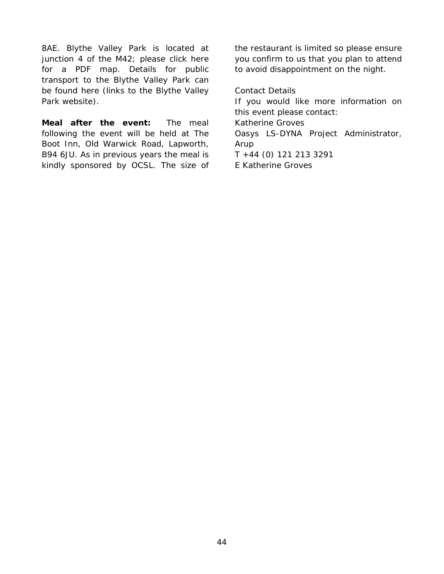8AE. Blythe Valley Park is located at junction 4 of the M42; please click here for a PDF map. Details for public transport to the Blythe Valley Park can be found here (links to the Blythe Valley Park website).

**Meal after the event:** The meal following the event will be held at The Boot Inn, Old Warwick Road, Lapworth, B94 6JU. As in previous years the meal is kindly sponsored by OCSL. The size of

the restaurant is limited so please ensure you confirm to us that you plan to attend to avoid disappointment on the night.

Contact Details

If you would like more information on this event please contact: Katherine Groves Oasys LS-DYNA Project Administrator, Arup T +44 (0) 121 213 3291 E Katherine Groves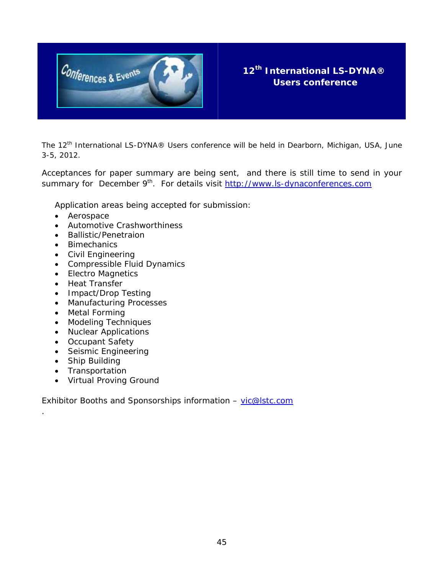

**12th International LS-DYNA® Users conference**

The 12<sup>th</sup> International LS-DYNA® Users conference will be held in Dearborn, Michigan, USA, June 3-5, 2012.

Acceptances for paper summary are being sent, and there is still time to send in your summary for December 9<sup>th</sup>. For details visit http://www.ls-dynaconferences.com

Application areas being accepted for submission:

- Aerospace
- Automotive Crashworthiness
- Ballistic/Penetraion
- Bimechanics
- Civil Engineering
- Compressible Fluid Dynamics
- Electro Magnetics
- Heat Transfer
- Impact/Drop Testing
- Manufacturing Processes
- Metal Forming
- Modeling Techniques
- Nuclear Applications
- Occupant Safety
- Seismic Engineering
- Ship Building
- Transportation

.

Virtual Proving Ground

Exhibitor Booths and Sponsorships information - [vic@lstc.com](mailto:vic@lstc.com)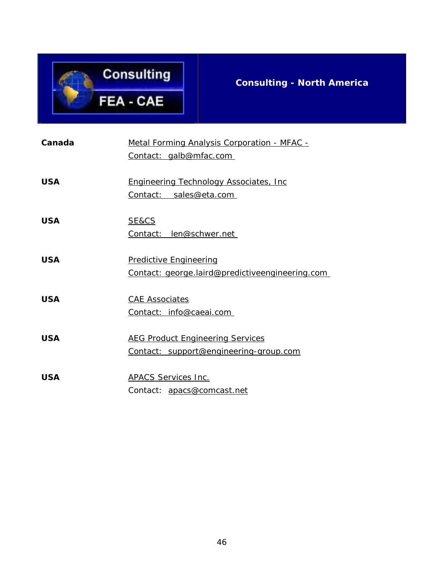

## **Consulting - North America**

| Canada     | Metal Forming Analysis Corporation - MFAC -            |
|------------|--------------------------------------------------------|
|            | Contact: galb@mfac.com                                 |
|            |                                                        |
| <b>USA</b> | <b>Engineering Technology Associates, Inc.</b>         |
|            | Contact: sales@eta.com                                 |
|            |                                                        |
| <b>USA</b> | SE&CS                                                  |
|            | Contact: len@schwer.net                                |
|            |                                                        |
| <b>USA</b> | <b>Predictive Engineering</b>                          |
|            | <u>Contact: george.laird@predictiveengineering.com</u> |
|            |                                                        |
| <b>USA</b> | <b>CAE Associates</b>                                  |
|            | Contact: info@caeai.com                                |
|            |                                                        |
| <b>USA</b> | <b>AEG Product Engineering Services</b>                |
|            | Contact: support@engineering-group.com                 |
|            |                                                        |
| <b>USA</b> | <b>APACS Services Inc.</b>                             |
|            | Contact: apacs@comcast.net                             |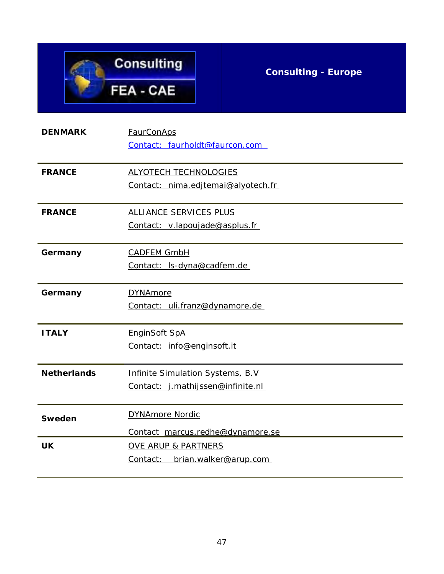

**Consulting - Europe** 

| <b>DENMARK</b>     | <b>FaurConAps</b><br>Contact: faurholdt@faurcon.com                    |
|--------------------|------------------------------------------------------------------------|
| <b>FRANCE</b>      | <b>ALYOTECH TECHNOLOGIES</b><br>Contact: nima.edjtemai@alyotech.fr     |
| <b>FRANCE</b>      | ALLIANCE SERVICES PLUS<br>Contact: v.lapoujade@asplus.fr               |
| Germany            | <b>CADFEM GmbH</b><br>Contact: ls-dyna@cadfem.de                       |
| Germany            | <b>DYNAmore</b><br>Contact: uli.franz@dynamore.de                      |
| <b>ITALY</b>       | EnginSoft SpA<br>Contact: info@enginsoft.it                            |
| <b>Netherlands</b> | Infinite Simulation Systems, B.V.<br>Contact: j.mathijssen@infinite.nl |
| Sweden             | <b>DYNAmore Nordic</b><br>Contact marcus.redhe@dynamore.se             |
| <b>UK</b>          | <b>OVE ARUP &amp; PARTNERS</b><br>Contact: brian.walker@arup.com       |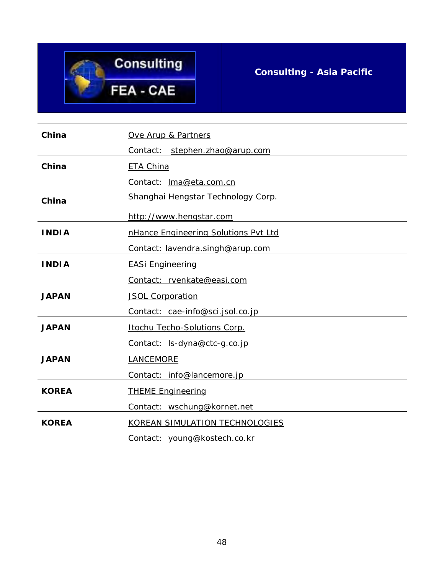

**Consulting - Asia Pacific** 

| China        | Ove Arup & Partners                  |
|--------------|--------------------------------------|
|              | Contact: stephen.zhao@arup.com       |
| China        | <b>ETA China</b>                     |
|              | Contact: Ima@eta.com.cn              |
| China        | Shanghai Hengstar Technology Corp.   |
|              | http://www.hengstar.com              |
| <b>INDIA</b> | nHance Engineering Solutions Pvt Ltd |
|              | Contact: lavendra.singh@arup.com     |
| <b>INDIA</b> | <b>EASi Engineering</b>              |
|              | Contact: rvenkate@easi.com           |
| <b>JAPAN</b> | <b>JSOL Corporation</b>              |
|              | Contact: cae-info@sci.jsol.co.jp     |
| <b>JAPAN</b> | Itochu Techo-Solutions Corp.         |
|              | Contact: ls-dyna@ctc-g.co.jp         |
| <b>JAPAN</b> | LANCEMORE                            |
|              | Contact: info@lancemore.jp           |
| <b>KOREA</b> | <b>THEME Engineering</b>             |
|              | Contact: wschung@kornet.net          |
| <b>KOREA</b> | KOREAN SIMULATION TECHNOLOGIES       |
|              | Contact: young@kostech.co.kr         |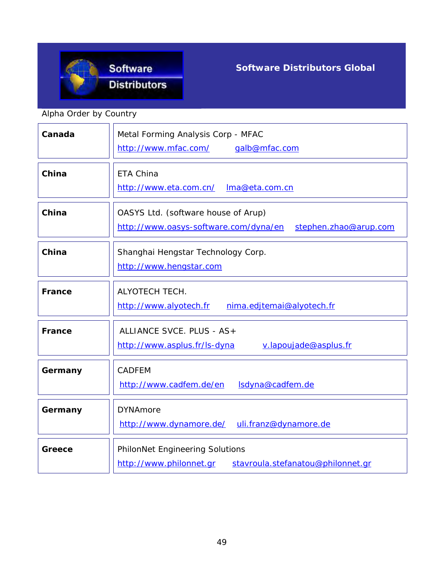

## **Software Distributors Global**

Alpha Order by Country

| Canada        | Metal Forming Analysis Corp - MFAC<br>http://www.mfac.com/<br>galb@mfac.com                           |
|---------------|-------------------------------------------------------------------------------------------------------|
| China         | <b>ETA China</b><br>http://www.eta.com.cn/<br>Ima@eta.com.cn                                          |
| China         | OASYS Ltd. (software house of Arup)<br>http://www.oasys-software.com/dyna/en<br>stephen.zhao@arup.com |
| China         | Shanghai Hengstar Technology Corp.<br>http://www.hengstar.com                                         |
| <b>France</b> | <b>ALYOTECH TECH.</b><br>http://www.alyotech.fr<br>nima.edjtemai@alyotech.fr                          |
| <b>France</b> | ALLIANCE SVCE. PLUS - AS+<br>http://www.asplus.fr/ls-dyna<br>v.lapoujade@asplus.fr                    |
| Germany       | <b>CADFEM</b><br>http://www.cadfem.de/en<br>Isdyna@cadfem.de                                          |
| Germany       | <b>DYNAmore</b><br>http://www.dynamore.de/<br>uli.franz@dynamore.de                                   |
| Greece        | PhilonNet Engineering Solutions<br>http://www.philonnet.gr<br>stavroula.stefanatou@philonnet.gr       |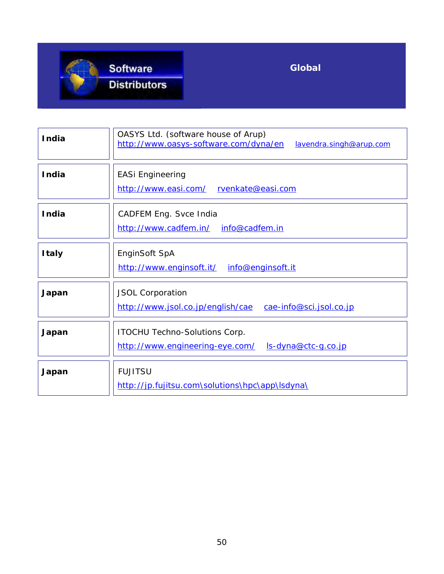

| <b>India</b> | OASYS Ltd. (software house of Arup)<br>http://www.oasys-software.com/dyna/en<br>lavendra.singh@arup.com |  |  |
|--------------|---------------------------------------------------------------------------------------------------------|--|--|
| <b>India</b> | <b>EASi Engineering</b><br>http://www.easi.com/<br>rvenkate@easi.com                                    |  |  |
| <b>India</b> | CADFEM Eng. Svce India<br>http://www.cadfem.in/<br>info@cadfem.in                                       |  |  |
| <b>Italy</b> | EnginSoft SpA<br>http://www.enginsoft.it/<br>info@enginsoft.it                                          |  |  |
| Japan        | <b>JSOL Corporation</b><br>http://www.jsol.co.jp/english/cae<br>cae-info@sci.jsol.co.jp                 |  |  |
| Japan        | <b>ITOCHU Techno-Solutions Corp.</b><br>http://www.engineering-eye.com/<br><u>ls-dyna@ctc-q.co.jp</u>   |  |  |
| Japan        | <b>FUJITSU</b><br>http://jp.fujitsu.com\solutions\hpc\app\lsdyna\                                       |  |  |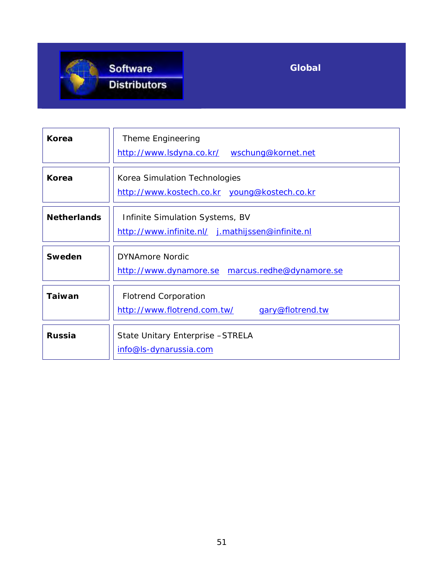

**Global** 

| Korea              | Theme Engineering<br>http://www.lsdyna.co.kr/ wschung@kornet.net                    |
|--------------------|-------------------------------------------------------------------------------------|
| Korea              | Korea Simulation Technologies<br>http://www.kostech.co.kr young@kostech.co.kr       |
| <b>Netherlands</b> | Infinite Simulation Systems, BV<br>http://www.infinite.nl/ j.mathijssen@infinite.nl |
| <b>Sweden</b>      | <b>DYNAmore Nordic</b><br>http://www.dynamore.se marcus.redhe@dynamore.se           |
| <b>Taiwan</b>      | <b>Flotrend Corporation</b><br>http://www.flotrend.com.tw/<br>gary@flotrend.tw      |
| <b>Russia</b>      | State Unitary Enterprise - STRELA<br>info@ls-dynarussia.com                         |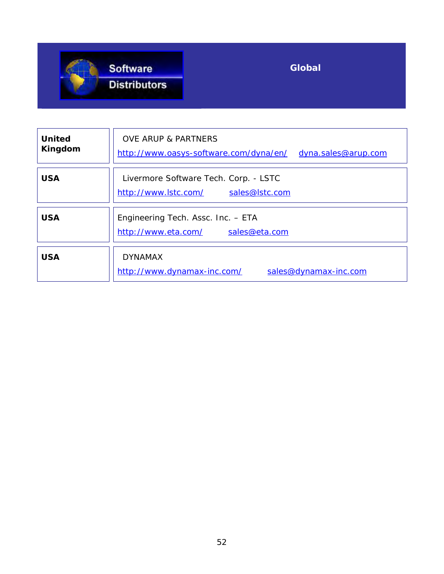| <b>OVE ARUP &amp; PARTNERS</b><br>http://www.oasys-software.com/dyna/en/<br>dyna.sales@arup.com |
|-------------------------------------------------------------------------------------------------|
|                                                                                                 |

| <b>USA</b> | Livermore Software Tech. Corp. - LSTC<br>http://www.lstc.com/<br>sales@lstc.com |
|------------|---------------------------------------------------------------------------------|
| <b>USA</b> | Engineering Tech. Assc. Inc. - ETA<br>http://www.eta.com/<br>sales@eta.com      |
| <b>USA</b> | <b>DYNAMAX</b><br>http://www.dynamax-inc.com/<br>sales@dynamax-inc.com          |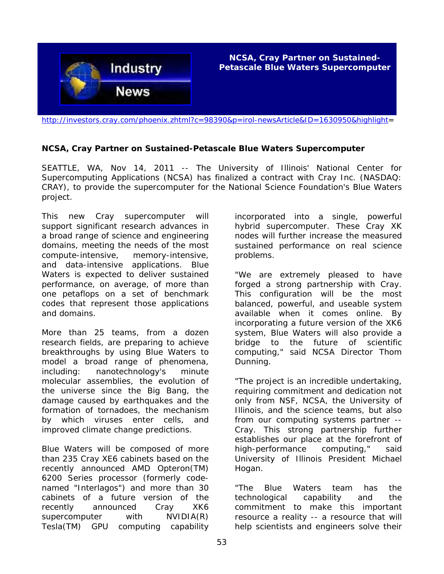

[http://investors.cray.com/phoenix.zhtml?c=98390&p=irol-newsArticle&ID=1630950&highlight=](http://investors.cray.com/phoenix.zhtml?c=98390&p=irol-newsArticle&ID=1630950&highlight)

### **NCSA, Cray Partner on Sustained-Petascale Blue Waters Supercomputer**

SEATTLE, WA, Nov 14, 2011 -- The University of Illinois' National Center for Supercomputing Applications (NCSA) has finalized a contract with Cray Inc. (NASDAQ: CRAY), to provide the supercomputer for the National Science Foundation's Blue Waters project.

This new Cray supercomputer will support significant research advances in a broad range of science and engineering domains, meeting the needs of the most compute-intensive, memory-intensive, and data-intensive applications. Blue Waters is expected to deliver sustained performance, on average, of more than one petaflops on a set of benchmark codes that represent those applications and domains.

More than 25 teams, from a dozen research fields, are preparing to achieve breakthroughs by using Blue Waters to model a broad range of phenomena, including: nanotechnology's minute molecular assemblies, the evolution of the universe since the Big Bang, the damage caused by earthquakes and the formation of tornadoes, the mechanism by which viruses enter cells, and improved climate change predictions.

Blue Waters will be composed of more than 235 Cray XE6 cabinets based on the recently announced AMD Opteron(TM) 6200 Series processor (formerly codenamed "Interlagos") and more than 30 cabinets of a future version of the recently announced Cray XK6 supercomputer with NVIDIA(R) Tesla(TM) GPU computing capability

incorporated into a single, powerful hybrid supercomputer. These Cray XK nodes will further increase the measured sustained performance on real science problems.

"We are extremely pleased to have forged a strong partnership with Cray. This configuration will be the most balanced, powerful, and useable system available when it comes online. By incorporating a future version of the XK6 system, Blue Waters will also provide a bridge to the future of scientific computing," said NCSA Director Thom Dunning.

"The project is an incredible undertaking, requiring commitment and dedication not only from NSF, NCSA, the University of Illinois, and the science teams, but also from our computing systems partner -- Cray. This strong partnership further establishes our place at the forefront of high-performance computing," said University of Illinois President Michael Hogan.

"The Blue Waters team has the technological capability and the commitment to make this important resource a reality -- a resource that will help scientists and engineers solve their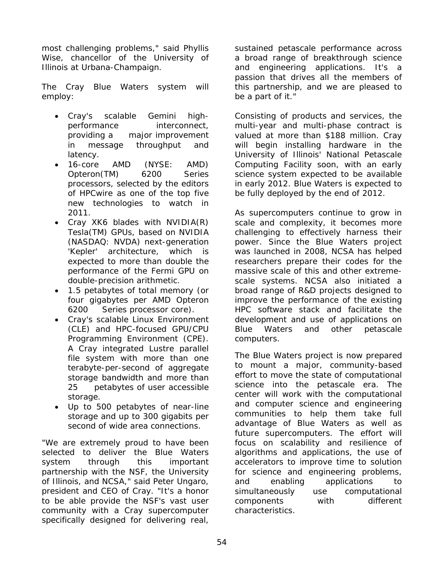most challenging problems," said Phyllis Wise, chancellor of the University of Illinois at Urbana-Champaign.

The Cray Blue Waters system will employ:

- Cray's scalable Gemini highperformance interconnect, providing a major improvement in message throughput and latency.
- 16-core AMD (NYSE: AMD) Opteron(TM) 6200 Series processors, selected by the editors of HPCwire as one of the top five new technologies to watch in 2011.
- Cray XK6 blades with NVIDIA(R) Tesla(TM) GPUs, based on NVIDIA (NASDAQ: NVDA) next-generation 'Kepler' architecture, which is expected to more than double the performance of the Fermi GPU on double-precision arithmetic.
- 1.5 petabytes of total memory (or four gigabytes per AMD Opteron 6200 Series processor core).
- Cray's scalable Linux Environment (CLE) and HPC-focused GPU/CPU Programming Environment (CPE). A Cray integrated Lustre parallel file system with more than one terabyte-per-second of aggregate storage bandwidth and more than 25 petabytes of user accessible storage.
- Up to 500 petabytes of near-line storage and up to 300 gigabits per second of wide area connections.

"We are extremely proud to have been selected to deliver the Blue Waters system through this important partnership with the NSF, the University of Illinois, and NCSA," said Peter Ungaro, president and CEO of Cray. "It's a honor to be able provide the NSF's vast user community with a Cray supercomputer specifically designed for delivering real,

sustained petascale performance across a broad range of breakthrough science and engineering applications. It's a passion that drives all the members of this partnership, and we are pleased to be a part of it."

Consisting of products and services, the multi-year and multi-phase contract is valued at more than \$188 million. Cray will begin installing hardware in the University of Illinois' National Petascale Computing Facility soon, with an early science system expected to be available in early 2012. Blue Waters is expected to be fully deployed by the end of 2012.

As supercomputers continue to grow in scale and complexity, it becomes more challenging to effectively harness their power. Since the Blue Waters project was launched in 2008, NCSA has helped researchers prepare their codes for the massive scale of this and other extremescale systems. NCSA also initiated a broad range of R&D projects designed to improve the performance of the existing HPC software stack and facilitate the development and use of applications on Blue Waters and other petascale computers.

The Blue Waters project is now prepared to mount a major, community-based effort to move the state of computational science into the petascale era. The center will work with the computational and computer science and engineering communities to help them take full advantage of Blue Waters as well as future supercomputers. The effort will focus on scalability and resilience of algorithms and applications, the use of accelerators to improve time to solution for science and engineering problems, and enabling applications to simultaneously use computational components with different characteristics.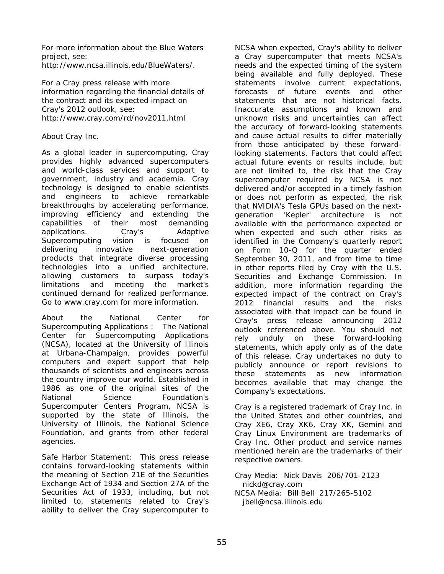For more information about the Blue Waters project, see: http://www.ncsa.illinois.edu/BlueWaters/.

For a Cray press release with more information regarding the financial details of the contract and its expected impact on Cray's 2012 outlook, see: http://www.cray.com/rd/nov2011.html

### About Cray Inc.

As a global leader in supercomputing, Cray provides highly advanced supercomputers and world-class services and support to government, industry and academia. Cray technology is designed to enable scientists and engineers to achieve remarkable breakthroughs by accelerating performance, improving efficiency and extending the capabilities of their most demanding applications. Cray's Adaptive Supercomputing vision is focused on delivering innovative next-generation products that integrate diverse processing technologies into a unified architecture, allowing customers to surpass today's limitations and meeting the market's continued demand for realized performance. Go to www.cray.com for more information.

About the National Center for Supercomputing Applications : The National Center for Supercomputing Applications (NCSA), located at the University of Illinois at Urbana-Champaign, provides powerful computers and expert support that help thousands of scientists and engineers across the country improve our world. Established in 1986 as one of the original sites of the National Science Foundation's Supercomputer Centers Program, NCSA is supported by the state of Illinois, the University of Illinois, the National Science Foundation, and grants from other federal agencies.

Safe Harbor Statement: This press release contains forward-looking statements within the meaning of Section 21E of the Securities Exchange Act of 1934 and Section 27A of the Securities Act of 1933, including, but not limited to, statements related to Cray's ability to deliver the Cray supercomputer to NCSA when expected, Cray's ability to deliver a Cray supercomputer that meets NCSA's needs and the expected timing of the system being available and fully deployed. These statements involve current expectations, forecasts of future events and other statements that are not historical facts. Inaccurate assumptions and known and unknown risks and uncertainties can affect the accuracy of forward-looking statements and cause actual results to differ materially from those anticipated by these forwardlooking statements. Factors that could affect actual future events or results include, but are not limited to, the risk that the Cray supercomputer required by NCSA is not delivered and/or accepted in a timely fashion or does not perform as expected, the risk that NVIDIA's Tesla GPUs based on the nextgeneration 'Kepler' architecture is not available with the performance expected or when expected and such other risks as identified in the Company's quarterly report on Form 10-Q for the quarter ended September 30, 2011, and from time to time in other reports filed by Cray with the U.S. Securities and Exchange Commission. In addition, more information regarding the expected impact of the contract on Cray's 2012 financial results and the risks associated with that impact can be found in Cray's press release announcing 2012 outlook referenced above. You should not rely unduly on these forward-looking statements, which apply only as of the date of this release. Cray undertakes no duty to publicly announce or report revisions to these statements as new information becomes available that may change the Company's expectations.

Cray is a registered trademark of Cray Inc. in the United States and other countries, and Cray XE6, Cray XK6, Cray XK, Gemini and Cray Linux Environment are trademarks of Cray Inc. Other product and service names mentioned herein are the trademarks of their respective owners.

Cray Media: Nick Davis 206/701-2123 nickd@cray.com NCSA Media: Bill Bell 217/265-5102

jbell@ncsa.illinois.edu